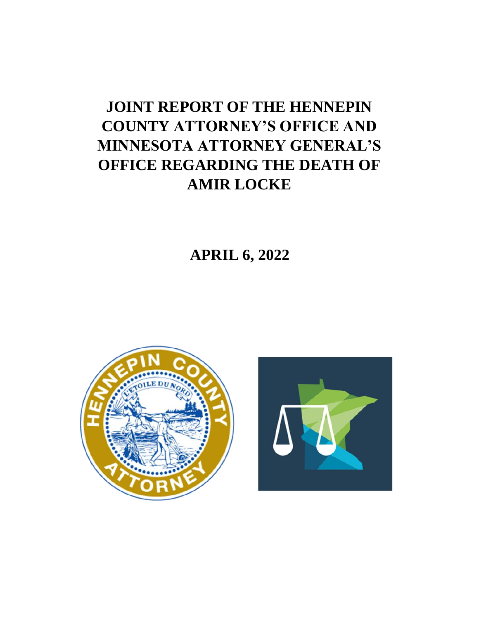# **JOINT REPORT OF THE HENNEPIN COUNTY ATTORNEY'S OFFICE AND MINNESOTA ATTORNEY GENERAL'S OFFICE REGARDING THE DEATH OF AMIR LOCKE**

 **APRIL 6, 2022**



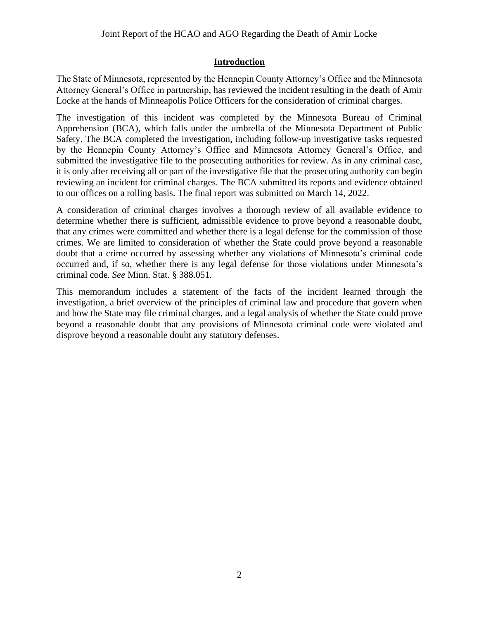## **Introduction**

The State of Minnesota, represented by the Hennepin County Attorney's Office and the Minnesota Attorney General's Office in partnership, has reviewed the incident resulting in the death of Amir Locke at the hands of Minneapolis Police Officers for the consideration of criminal charges.

The investigation of this incident was completed by the Minnesota Bureau of Criminal Apprehension (BCA), which falls under the umbrella of the Minnesota Department of Public Safety. The BCA completed the investigation, including follow-up investigative tasks requested by the Hennepin County Attorney's Office and Minnesota Attorney General's Office, and submitted the investigative file to the prosecuting authorities for review. As in any criminal case, it is only after receiving all or part of the investigative file that the prosecuting authority can begin reviewing an incident for criminal charges. The BCA submitted its reports and evidence obtained to our offices on a rolling basis. The final report was submitted on March 14, 2022.

A consideration of criminal charges involves a thorough review of all available evidence to determine whether there is sufficient, admissible evidence to prove beyond a reasonable doubt, that any crimes were committed and whether there is a legal defense for the commission of those crimes. We are limited to consideration of whether the State could prove beyond a reasonable doubt that a crime occurred by assessing whether any violations of Minnesota's criminal code occurred and, if so, whether there is any legal defense for those violations under Minnesota's criminal code. *See* Minn. Stat. § 388.051.

This memorandum includes a statement of the facts of the incident learned through the investigation, a brief overview of the principles of criminal law and procedure that govern when and how the State may file criminal charges, and a legal analysis of whether the State could prove beyond a reasonable doubt that any provisions of Minnesota criminal code were violated and disprove beyond a reasonable doubt any statutory defenses.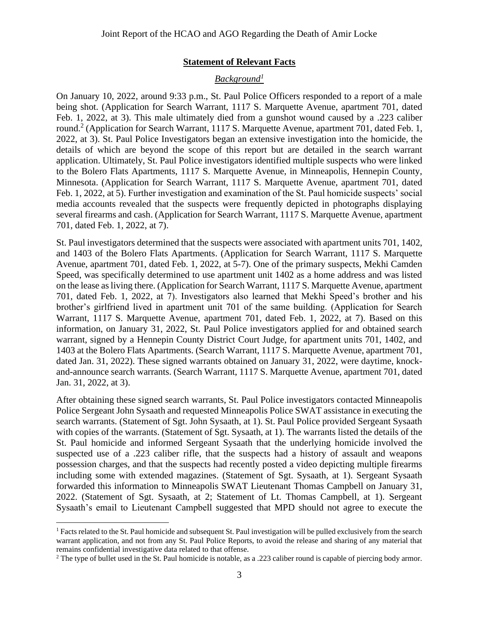#### **Statement of Relevant Facts**

#### *Background<sup>1</sup>*

On January 10, 2022, around 9:33 p.m., St. Paul Police Officers responded to a report of a male being shot. (Application for Search Warrant, 1117 S. Marquette Avenue, apartment 701, dated Feb. 1, 2022, at 3). This male ultimately died from a gunshot wound caused by a .223 caliber round. 2 (Application for Search Warrant, 1117 S. Marquette Avenue, apartment 701, dated Feb. 1, 2022, at 3). St. Paul Police Investigators began an extensive investigation into the homicide, the details of which are beyond the scope of this report but are detailed in the search warrant application. Ultimately, St. Paul Police investigators identified multiple suspects who were linked to the Bolero Flats Apartments, 1117 S. Marquette Avenue, in Minneapolis, Hennepin County, Minnesota. (Application for Search Warrant, 1117 S. Marquette Avenue, apartment 701, dated Feb. 1, 2022, at 5). Further investigation and examination of the St. Paul homicide suspects' social media accounts revealed that the suspects were frequently depicted in photographs displaying several firearms and cash. (Application for Search Warrant, 1117 S. Marquette Avenue, apartment 701, dated Feb. 1, 2022, at 7).

St. Paul investigators determined that the suspects were associated with apartment units 701, 1402, and 1403 of the Bolero Flats Apartments. (Application for Search Warrant, 1117 S. Marquette Avenue, apartment 701, dated Feb. 1, 2022, at 5-7). One of the primary suspects, Mekhi Camden Speed, was specifically determined to use apartment unit 1402 as a home address and was listed on the lease as living there. (Application for Search Warrant, 1117 S. Marquette Avenue, apartment 701, dated Feb. 1, 2022, at 7). Investigators also learned that Mekhi Speed's brother and his brother's girlfriend lived in apartment unit 701 of the same building. (Application for Search Warrant, 1117 S. Marquette Avenue, apartment 701, dated Feb. 1, 2022, at 7). Based on this information, on January 31, 2022, St. Paul Police investigators applied for and obtained search warrant, signed by a Hennepin County District Court Judge, for apartment units 701, 1402, and 1403 at the Bolero Flats Apartments. (Search Warrant, 1117 S. Marquette Avenue, apartment 701, dated Jan. 31, 2022). These signed warrants obtained on January 31, 2022, were daytime, knockand-announce search warrants. (Search Warrant, 1117 S. Marquette Avenue, apartment 701, dated Jan. 31, 2022, at 3).

After obtaining these signed search warrants, St. Paul Police investigators contacted Minneapolis Police Sergeant John Sysaath and requested Minneapolis Police SWAT assistance in executing the search warrants. (Statement of Sgt. John Sysaath, at 1). St. Paul Police provided Sergeant Sysaath with copies of the warrants. (Statement of Sgt. Sysaath, at 1). The warrants listed the details of the St. Paul homicide and informed Sergeant Sysaath that the underlying homicide involved the suspected use of a .223 caliber rifle, that the suspects had a history of assault and weapons possession charges, and that the suspects had recently posted a video depicting multiple firearms including some with extended magazines. (Statement of Sgt. Sysaath, at 1). Sergeant Sysaath forwarded this information to Minneapolis SWAT Lieutenant Thomas Campbell on January 31, 2022. (Statement of Sgt. Sysaath, at 2; Statement of Lt. Thomas Campbell, at 1). Sergeant Sysaath's email to Lieutenant Campbell suggested that MPD should not agree to execute the

<sup>&</sup>lt;sup>1</sup> Facts related to the St. Paul homicide and subsequent St. Paul investigation will be pulled exclusively from the search warrant application, and not from any St. Paul Police Reports, to avoid the release and sharing of any material that remains confidential investigative data related to that offense.

<sup>&</sup>lt;sup>2</sup> The type of bullet used in the St. Paul homicide is notable, as a .223 caliber round is capable of piercing body armor.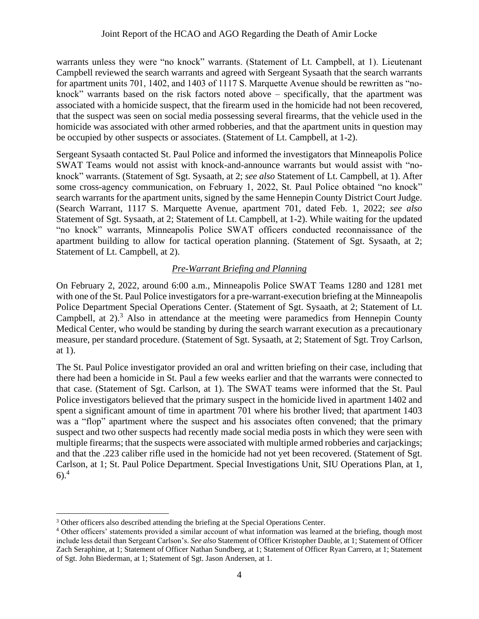warrants unless they were "no knock" warrants. (Statement of Lt. Campbell, at 1). Lieutenant Campbell reviewed the search warrants and agreed with Sergeant Sysaath that the search warrants for apartment units 701, 1402, and 1403 of 1117 S. Marquette Avenue should be rewritten as "noknock" warrants based on the risk factors noted above – specifically, that the apartment was associated with a homicide suspect, that the firearm used in the homicide had not been recovered, that the suspect was seen on social media possessing several firearms, that the vehicle used in the homicide was associated with other armed robberies, and that the apartment units in question may be occupied by other suspects or associates. (Statement of Lt. Campbell, at 1-2).

Sergeant Sysaath contacted St. Paul Police and informed the investigators that Minneapolis Police SWAT Teams would not assist with knock-and-announce warrants but would assist with "noknock" warrants. (Statement of Sgt. Sysaath, at 2; *see also* Statement of Lt. Campbell, at 1). After some cross-agency communication, on February 1, 2022, St. Paul Police obtained "no knock" search warrants for the apartment units, signed by the same Hennepin County District Court Judge. (Search Warrant, 1117 S. Marquette Avenue, apartment 701, dated Feb. 1, 2022; *see also*  Statement of Sgt. Sysaath, at 2; Statement of Lt. Campbell, at 1-2). While waiting for the updated "no knock" warrants, Minneapolis Police SWAT officers conducted reconnaissance of the apartment building to allow for tactical operation planning. (Statement of Sgt. Sysaath, at 2; Statement of Lt. Campbell, at 2).

## *Pre-Warrant Briefing and Planning*

On February 2, 2022, around 6:00 a.m., Minneapolis Police SWAT Teams 1280 and 1281 met with one of the St. Paul Police investigators for a pre-warrant-execution briefing at the Minneapolis Police Department Special Operations Center. (Statement of Sgt. Sysaath, at 2; Statement of Lt. Campbell, at 2).<sup>3</sup> Also in attendance at the meeting were paramedics from Hennepin County Medical Center, who would be standing by during the search warrant execution as a precautionary measure, per standard procedure. (Statement of Sgt. Sysaath, at 2; Statement of Sgt. Troy Carlson, at 1).

The St. Paul Police investigator provided an oral and written briefing on their case, including that there had been a homicide in St. Paul a few weeks earlier and that the warrants were connected to that case. (Statement of Sgt. Carlson, at 1). The SWAT teams were informed that the St. Paul Police investigators believed that the primary suspect in the homicide lived in apartment 1402 and spent a significant amount of time in apartment 701 where his brother lived; that apartment 1403 was a "flop" apartment where the suspect and his associates often convened; that the primary suspect and two other suspects had recently made social media posts in which they were seen with multiple firearms; that the suspects were associated with multiple armed robberies and carjackings; and that the .223 caliber rifle used in the homicide had not yet been recovered. (Statement of Sgt. Carlson, at 1; St. Paul Police Department. Special Investigations Unit, SIU Operations Plan, at 1, 6).<sup>4</sup>

<sup>&</sup>lt;sup>3</sup> Other officers also described attending the briefing at the Special Operations Center.

<sup>4</sup> Other officers' statements provided a similar account of what information was learned at the briefing, though most include less detail than Sergeant Carlson's. *See also* Statement of Officer Kristopher Dauble, at 1; Statement of Officer Zach Seraphine, at 1; Statement of Officer Nathan Sundberg, at 1; Statement of Officer Ryan Carrero, at 1; Statement of Sgt. John Biederman, at 1; Statement of Sgt. Jason Andersen, at 1.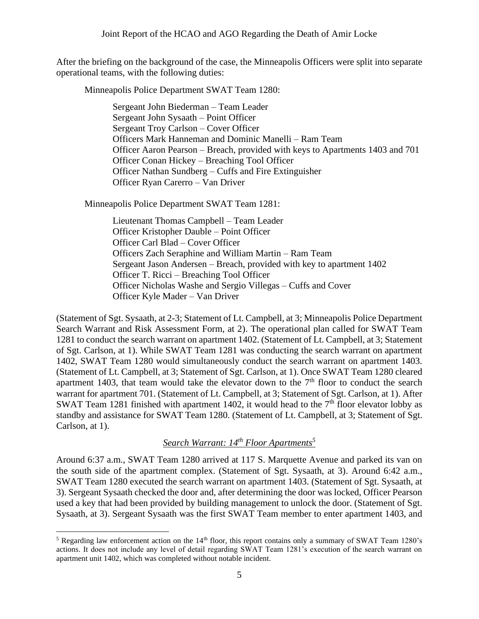After the briefing on the background of the case, the Minneapolis Officers were split into separate operational teams, with the following duties:

Minneapolis Police Department SWAT Team 1280:

Sergeant John Biederman – Team Leader Sergeant John Sysaath – Point Officer Sergeant Troy Carlson – Cover Officer Officers Mark Hanneman and Dominic Manelli – Ram Team Officer Aaron Pearson – Breach, provided with keys to Apartments 1403 and 701 Officer Conan Hickey – Breaching Tool Officer Officer Nathan Sundberg – Cuffs and Fire Extinguisher Officer Ryan Carerro – Van Driver

Minneapolis Police Department SWAT Team 1281:

Lieutenant Thomas Campbell – Team Leader Officer Kristopher Dauble – Point Officer Officer Carl Blad – Cover Officer Officers Zach Seraphine and William Martin – Ram Team Sergeant Jason Andersen – Breach, provided with key to apartment 1402 Officer T. Ricci – Breaching Tool Officer Officer Nicholas Washe and Sergio Villegas – Cuffs and Cover Officer Kyle Mader – Van Driver

(Statement of Sgt. Sysaath, at 2-3; Statement of Lt. Campbell, at 3; Minneapolis Police Department Search Warrant and Risk Assessment Form, at 2). The operational plan called for SWAT Team 1281 to conduct the search warrant on apartment 1402. (Statement of Lt. Campbell, at 3; Statement of Sgt. Carlson, at 1). While SWAT Team 1281 was conducting the search warrant on apartment 1402, SWAT Team 1280 would simultaneously conduct the search warrant on apartment 1403. (Statement of Lt. Campbell, at 3; Statement of Sgt. Carlson, at 1). Once SWAT Team 1280 cleared apartment 1403, that team would take the elevator down to the  $7<sup>th</sup>$  floor to conduct the search warrant for apartment 701. (Statement of Lt. Campbell, at 3; Statement of Sgt. Carlson, at 1). After SWAT Team 1281 finished with apartment 1402, it would head to the  $7<sup>th</sup>$  floor elevator lobby as standby and assistance for SWAT Team 1280. (Statement of Lt. Campbell, at 3; Statement of Sgt. Carlson, at 1).

# *Search Warrant: 14th Floor Apartments<sup>5</sup>*

Around 6:37 a.m., SWAT Team 1280 arrived at 117 S. Marquette Avenue and parked its van on the south side of the apartment complex. (Statement of Sgt. Sysaath, at 3). Around 6:42 a.m., SWAT Team 1280 executed the search warrant on apartment 1403. (Statement of Sgt. Sysaath, at 3). Sergeant Sysaath checked the door and, after determining the door was locked, Officer Pearson used a key that had been provided by building management to unlock the door. (Statement of Sgt. Sysaath, at 3). Sergeant Sysaath was the first SWAT Team member to enter apartment 1403, and

<sup>&</sup>lt;sup>5</sup> Regarding law enforcement action on the  $14<sup>th</sup>$  floor, this report contains only a summary of SWAT Team 1280's actions. It does not include any level of detail regarding SWAT Team 1281's execution of the search warrant on apartment unit 1402, which was completed without notable incident.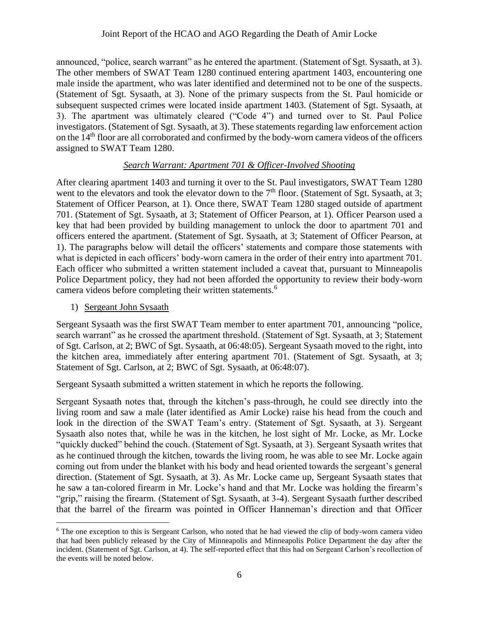announced, "police, search warrant" as he entered the apartment. (Statement of Sgt. Sysaath, at 3). The other members of SWAT Team 1280 continued entering apartment 1403, encountering one male inside the apartment, who was later identified and determined not to be one of the suspects. (Statement of Sgt. Sysaath, at 3). None of the primary suspects from the St. Paul homicide or subsequent suspected crimes were located inside apartment 1403. (Statement of Sgt. Sysaath, at 3). The apartment was ultimately cleared ("Code 4") and turned over to St. Paul Police investigators. (Statement of Sgt. Sysaath, at 3). These statements regarding law enforcement action on the  $14<sup>th</sup>$  floor are all corroborated and confirmed by the body-worn camera videos of the officers assigned to SWAT Team 1280.

#### *Search Warrant: Apartment 701 & Officer-Involved Shooting*

After clearing apartment 1403 and turning it over to the St. Paul investigators, SWAT Team 1280 went to the elevators and took the elevator down to the  $7<sup>th</sup>$  floor. (Statement of Sgt. Sysaath, at 3; Statement of Officer Pearson, at 1). Once there, SWAT Team 1280 staged outside of apartment 701. (Statement of Sgt. Sysaath, at 3; Statement of Officer Pearson, at 1). Officer Pearson used a key that had been provided by building management to unlock the door to apartment 701 and officers entered the apartment. (Statement of Sgt. Sysaath, at 3; Statement of Officer Pearson, at 1). The paragraphs below will detail the officers' statements and compare those statements with what is depicted in each officers' body-worn camera in the order of their entry into apartment 701. Each officer who submitted a written statement included a caveat that, pursuant to Minneapolis Police Department policy, they had not been afforded the opportunity to review their body-worn camera videos before completing their written statements.<sup>6</sup>

1) Sergeant John Sysaath

Sergeant Sysaath was the first SWAT Team member to enter apartment 701, announcing "police, search warrant" as he crossed the apartment threshold. (Statement of Sgt. Sysaath, at 3; Statement of Sgt. Carlson, at 2; BWC of Sgt. Sysaath, at 06:48:05). Sergeant Sysaath moved to the right, into the kitchen area, immediately after entering apartment 701. (Statement of Sgt. Sysaath, at 3; Statement of Sgt. Carlson, at 2; BWC of Sgt. Sysaath, at 06:48:07).

Sergeant Sysaath submitted a written statement in which he reports the following.

Sergeant Sysaath notes that, through the kitchen's pass-through, he could see directly into the living room and saw a male (later identified as Amir Locke) raise his head from the couch and look in the direction of the SWAT Team's entry. (Statement of Sgt. Sysaath, at 3). Sergeant Sysaath also notes that, while he was in the kitchen, he lost sight of Mr. Locke, as Mr. Locke "quickly ducked" behind the couch. (Statement of Sgt. Sysaath, at 3). Sergeant Sysaath writes that as he continued through the kitchen, towards the living room, he was able to see Mr. Locke again coming out from under the blanket with his body and head oriented towards the sergeant's general direction. (Statement of Sgt. Sysaath, at 3). As Mr. Locke came up, Sergeant Sysaath states that he saw a tan-colored firearm in Mr. Locke's hand and that Mr. Locke was holding the firearm's "grip," raising the firearm. (Statement of Sgt. Sysaath, at 3-4). Sergeant Sysaath further described that the barrel of the firearm was pointed in Officer Hanneman's direction and that Officer

<sup>&</sup>lt;sup>6</sup> The one exception to this is Sergeant Carlson, who noted that he had viewed the clip of body-worn camera video that had been publicly released by the City of Minneapolis and Minneapolis Police Department the day after the incident. (Statement of Sgt. Carlson, at 4). The self-reported effect that this had on Sergeant Carlson's recollection of the events will be noted below.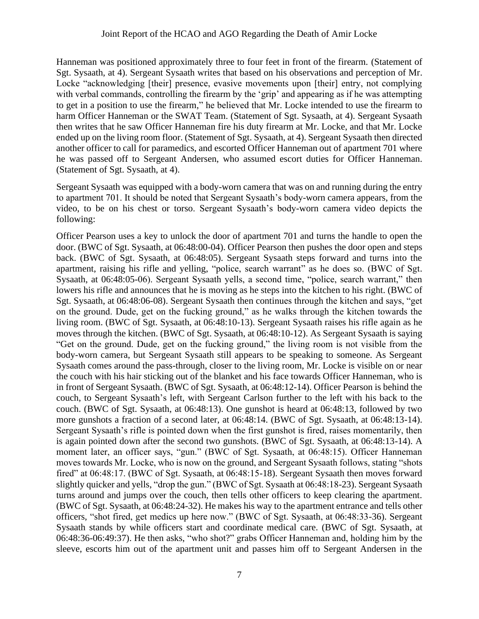Hanneman was positioned approximately three to four feet in front of the firearm. (Statement of Sgt. Sysaath, at 4). Sergeant Sysaath writes that based on his observations and perception of Mr. Locke "acknowledging [their] presence, evasive movements upon [their] entry, not complying with verbal commands, controlling the firearm by the 'grip' and appearing as if he was attempting to get in a position to use the firearm," he believed that Mr. Locke intended to use the firearm to harm Officer Hanneman or the SWAT Team. (Statement of Sgt. Sysaath, at 4). Sergeant Sysaath then writes that he saw Officer Hanneman fire his duty firearm at Mr. Locke, and that Mr. Locke ended up on the living room floor. (Statement of Sgt. Sysaath, at 4). Sergeant Sysaath then directed another officer to call for paramedics, and escorted Officer Hanneman out of apartment 701 where he was passed off to Sergeant Andersen, who assumed escort duties for Officer Hanneman. (Statement of Sgt. Sysaath, at 4).

Sergeant Sysaath was equipped with a body-worn camera that was on and running during the entry to apartment 701. It should be noted that Sergeant Sysaath's body-worn camera appears, from the video, to be on his chest or torso. Sergeant Sysaath's body-worn camera video depicts the following:

Officer Pearson uses a key to unlock the door of apartment 701 and turns the handle to open the door. (BWC of Sgt. Sysaath, at 06:48:00-04). Officer Pearson then pushes the door open and steps back. (BWC of Sgt. Sysaath, at 06:48:05). Sergeant Sysaath steps forward and turns into the apartment, raising his rifle and yelling, "police, search warrant" as he does so. (BWC of Sgt. Sysaath, at 06:48:05-06). Sergeant Sysaath yells, a second time, "police, search warrant," then lowers his rifle and announces that he is moving as he steps into the kitchen to his right. (BWC of Sgt. Sysaath, at 06:48:06-08). Sergeant Sysaath then continues through the kitchen and says, "get on the ground. Dude, get on the fucking ground," as he walks through the kitchen towards the living room. (BWC of Sgt. Sysaath, at 06:48:10-13). Sergeant Sysaath raises his rifle again as he moves through the kitchen. (BWC of Sgt. Sysaath, at 06:48:10-12). As Sergeant Sysaath is saying "Get on the ground. Dude, get on the fucking ground," the living room is not visible from the body-worn camera, but Sergeant Sysaath still appears to be speaking to someone. As Sergeant Sysaath comes around the pass-through, closer to the living room, Mr. Locke is visible on or near the couch with his hair sticking out of the blanket and his face towards Officer Hanneman, who is in front of Sergeant Sysaath. (BWC of Sgt. Sysaath, at 06:48:12-14). Officer Pearson is behind the couch, to Sergeant Sysaath's left, with Sergeant Carlson further to the left with his back to the couch. (BWC of Sgt. Sysaath, at 06:48:13). One gunshot is heard at 06:48:13, followed by two more gunshots a fraction of a second later, at 06:48:14. (BWC of Sgt. Sysaath, at 06:48:13-14). Sergeant Sysaath's rifle is pointed down when the first gunshot is fired, raises momentarily, then is again pointed down after the second two gunshots. (BWC of Sgt. Sysaath, at 06:48:13-14). A moment later, an officer says, "gun." (BWC of Sgt. Sysaath, at 06:48:15). Officer Hanneman moves towards Mr. Locke, who is now on the ground, and Sergeant Sysaath follows, stating "shots fired" at 06:48:17. (BWC of Sgt. Sysaath, at 06:48:15-18). Sergeant Sysaath then moves forward slightly quicker and yells, "drop the gun." (BWC of Sgt. Sysaath at 06:48:18-23). Sergeant Sysaath turns around and jumps over the couch, then tells other officers to keep clearing the apartment. (BWC of Sgt. Sysaath, at 06:48:24-32). He makes his way to the apartment entrance and tells other officers, "shot fired, get medics up here now." (BWC of Sgt. Sysaath, at 06:48:33-36). Sergeant Sysaath stands by while officers start and coordinate medical care. (BWC of Sgt. Sysaath, at 06:48:36-06:49:37). He then asks, "who shot?" grabs Officer Hanneman and, holding him by the sleeve, escorts him out of the apartment unit and passes him off to Sergeant Andersen in the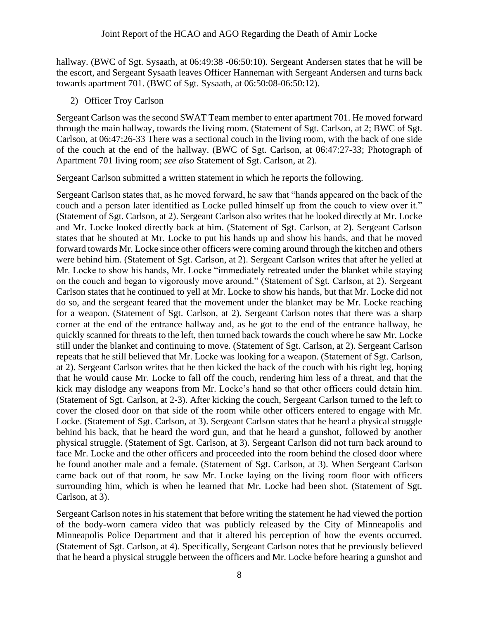hallway. (BWC of Sgt. Sysaath, at 06:49:38 -06:50:10). Sergeant Andersen states that he will be the escort, and Sergeant Sysaath leaves Officer Hanneman with Sergeant Andersen and turns back towards apartment 701. (BWC of Sgt. Sysaath, at 06:50:08-06:50:12).

2) Officer Troy Carlson

Sergeant Carlson was the second SWAT Team member to enter apartment 701. He moved forward through the main hallway, towards the living room. (Statement of Sgt. Carlson, at 2; BWC of Sgt. Carlson, at 06:47:26-33 There was a sectional couch in the living room, with the back of one side of the couch at the end of the hallway. (BWC of Sgt. Carlson, at 06:47:27-33; Photograph of Apartment 701 living room; *see also* Statement of Sgt. Carlson, at 2).

Sergeant Carlson submitted a written statement in which he reports the following.

Sergeant Carlson states that, as he moved forward, he saw that "hands appeared on the back of the couch and a person later identified as Locke pulled himself up from the couch to view over it." (Statement of Sgt. Carlson, at 2). Sergeant Carlson also writes that he looked directly at Mr. Locke and Mr. Locke looked directly back at him. (Statement of Sgt. Carlson, at 2). Sergeant Carlson states that he shouted at Mr. Locke to put his hands up and show his hands, and that he moved forward towards Mr. Locke since other officers were coming around through the kitchen and others were behind him. (Statement of Sgt. Carlson, at 2). Sergeant Carlson writes that after he yelled at Mr. Locke to show his hands, Mr. Locke "immediately retreated under the blanket while staying on the couch and began to vigorously move around." (Statement of Sgt. Carlson, at 2). Sergeant Carlson states that he continued to yell at Mr. Locke to show his hands, but that Mr. Locke did not do so, and the sergeant feared that the movement under the blanket may be Mr. Locke reaching for a weapon. (Statement of Sgt. Carlson, at 2). Sergeant Carlson notes that there was a sharp corner at the end of the entrance hallway and, as he got to the end of the entrance hallway, he quickly scanned for threats to the left, then turned back towards the couch where he saw Mr. Locke still under the blanket and continuing to move. (Statement of Sgt. Carlson, at 2). Sergeant Carlson repeats that he still believed that Mr. Locke was looking for a weapon. (Statement of Sgt. Carlson, at 2). Sergeant Carlson writes that he then kicked the back of the couch with his right leg, hoping that he would cause Mr. Locke to fall off the couch, rendering him less of a threat, and that the kick may dislodge any weapons from Mr. Locke's hand so that other officers could detain him. (Statement of Sgt. Carlson, at 2-3). After kicking the couch, Sergeant Carlson turned to the left to cover the closed door on that side of the room while other officers entered to engage with Mr. Locke. (Statement of Sgt. Carlson, at 3). Sergeant Carlson states that he heard a physical struggle behind his back, that he heard the word gun, and that he heard a gunshot, followed by another physical struggle. (Statement of Sgt. Carlson, at 3). Sergeant Carlson did not turn back around to face Mr. Locke and the other officers and proceeded into the room behind the closed door where he found another male and a female. (Statement of Sgt. Carlson, at 3). When Sergeant Carlson came back out of that room, he saw Mr. Locke laying on the living room floor with officers surrounding him, which is when he learned that Mr. Locke had been shot. (Statement of Sgt. Carlson, at 3).

Sergeant Carlson notes in his statement that before writing the statement he had viewed the portion of the body-worn camera video that was publicly released by the City of Minneapolis and Minneapolis Police Department and that it altered his perception of how the events occurred. (Statement of Sgt. Carlson, at 4). Specifically, Sergeant Carlson notes that he previously believed that he heard a physical struggle between the officers and Mr. Locke before hearing a gunshot and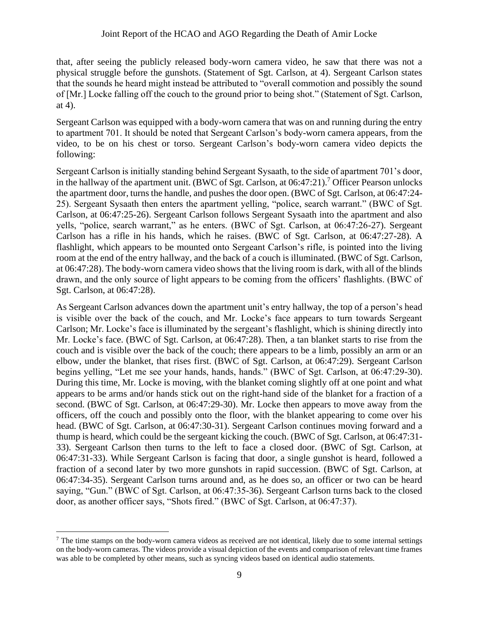#### Joint Report of the HCAO and AGO Regarding the Death of Amir Locke

that, after seeing the publicly released body-worn camera video, he saw that there was not a physical struggle before the gunshots. (Statement of Sgt. Carlson, at 4). Sergeant Carlson states that the sounds he heard might instead be attributed to "overall commotion and possibly the sound of [Mr.] Locke falling off the couch to the ground prior to being shot." (Statement of Sgt. Carlson, at 4).

Sergeant Carlson was equipped with a body-worn camera that was on and running during the entry to apartment 701. It should be noted that Sergeant Carlson's body-worn camera appears, from the video, to be on his chest or torso. Sergeant Carlson's body-worn camera video depicts the following:

Sergeant Carlson is initially standing behind Sergeant Sysaath, to the side of apartment 701's door, in the hallway of the apartment unit. (BWC of Sgt. Carlson, at  $06:47:21$ ).<sup>7</sup> Officer Pearson unlocks the apartment door, turns the handle, and pushes the door open. (BWC of Sgt. Carlson, at 06:47:24- 25). Sergeant Sysaath then enters the apartment yelling, "police, search warrant." (BWC of Sgt. Carlson, at 06:47:25-26). Sergeant Carlson follows Sergeant Sysaath into the apartment and also yells, "police, search warrant," as he enters. (BWC of Sgt. Carlson, at 06:47:26-27). Sergeant Carlson has a rifle in his hands, which he raises. (BWC of Sgt. Carlson, at 06:47:27-28). A flashlight, which appears to be mounted onto Sergeant Carlson's rifle, is pointed into the living room at the end of the entry hallway, and the back of a couch is illuminated. (BWC of Sgt. Carlson, at 06:47:28). The body-worn camera video shows that the living room is dark, with all of the blinds drawn, and the only source of light appears to be coming from the officers' flashlights. (BWC of Sgt. Carlson, at 06:47:28).

As Sergeant Carlson advances down the apartment unit's entry hallway, the top of a person's head is visible over the back of the couch, and Mr. Locke's face appears to turn towards Sergeant Carlson; Mr. Locke's face is illuminated by the sergeant's flashlight, which is shining directly into Mr. Locke's face. (BWC of Sgt. Carlson, at 06:47:28). Then, a tan blanket starts to rise from the couch and is visible over the back of the couch; there appears to be a limb, possibly an arm or an elbow, under the blanket, that rises first. (BWC of Sgt. Carlson, at 06:47:29). Sergeant Carlson begins yelling, "Let me see your hands, hands, hands." (BWC of Sgt. Carlson, at 06:47:29-30). During this time, Mr. Locke is moving, with the blanket coming slightly off at one point and what appears to be arms and/or hands stick out on the right-hand side of the blanket for a fraction of a second. (BWC of Sgt. Carlson, at 06:47:29-30). Mr. Locke then appears to move away from the officers, off the couch and possibly onto the floor, with the blanket appearing to come over his head. (BWC of Sgt. Carlson, at 06:47:30-31). Sergeant Carlson continues moving forward and a thump is heard, which could be the sergeant kicking the couch. (BWC of Sgt. Carlson, at 06:47:31- 33). Sergeant Carlson then turns to the left to face a closed door. (BWC of Sgt. Carlson, at 06:47:31-33). While Sergeant Carlson is facing that door, a single gunshot is heard, followed a fraction of a second later by two more gunshots in rapid succession. (BWC of Sgt. Carlson, at 06:47:34-35). Sergeant Carlson turns around and, as he does so, an officer or two can be heard saying, "Gun." (BWC of Sgt. Carlson, at 06:47:35-36). Sergeant Carlson turns back to the closed door, as another officer says, "Shots fired." (BWC of Sgt. Carlson, at 06:47:37).

 $<sup>7</sup>$  The time stamps on the body-worn camera videos as received are not identical, likely due to some internal settings</sup> on the body-worn cameras. The videos provide a visual depiction of the events and comparison of relevant time frames was able to be completed by other means, such as syncing videos based on identical audio statements.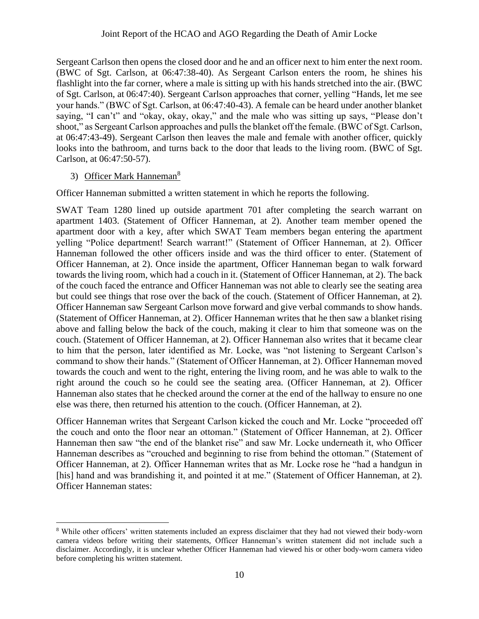Sergeant Carlson then opens the closed door and he and an officer next to him enter the next room. (BWC of Sgt. Carlson, at 06:47:38-40). As Sergeant Carlson enters the room, he shines his flashlight into the far corner, where a male is sitting up with his hands stretched into the air. (BWC of Sgt. Carlson, at 06:47:40). Sergeant Carlson approaches that corner, yelling "Hands, let me see your hands." (BWC of Sgt. Carlson, at 06:47:40-43). A female can be heard under another blanket saying, "I can't" and "okay, okay, okay," and the male who was sitting up says, "Please don't shoot," as Sergeant Carlson approaches and pulls the blanket off the female. (BWC of Sgt. Carlson, at 06:47:43-49). Sergeant Carlson then leaves the male and female with another officer, quickly looks into the bathroom, and turns back to the door that leads to the living room. (BWC of Sgt. Carlson, at 06:47:50-57).

#### 3) Officer Mark Hanneman<sup>8</sup>

Officer Hanneman submitted a written statement in which he reports the following.

SWAT Team 1280 lined up outside apartment 701 after completing the search warrant on apartment 1403. (Statement of Officer Hanneman, at 2). Another team member opened the apartment door with a key, after which SWAT Team members began entering the apartment yelling "Police department! Search warrant!" (Statement of Officer Hanneman, at 2). Officer Hanneman followed the other officers inside and was the third officer to enter. (Statement of Officer Hanneman, at 2). Once inside the apartment, Officer Hanneman began to walk forward towards the living room, which had a couch in it. (Statement of Officer Hanneman, at 2). The back of the couch faced the entrance and Officer Hanneman was not able to clearly see the seating area but could see things that rose over the back of the couch. (Statement of Officer Hanneman, at 2). Officer Hanneman saw Sergeant Carlson move forward and give verbal commands to show hands. (Statement of Officer Hanneman, at 2). Officer Hanneman writes that he then saw a blanket rising above and falling below the back of the couch, making it clear to him that someone was on the couch. (Statement of Officer Hanneman, at 2). Officer Hanneman also writes that it became clear to him that the person, later identified as Mr. Locke, was "not listening to Sergeant Carlson's command to show their hands." (Statement of Officer Hanneman, at 2). Officer Hanneman moved towards the couch and went to the right, entering the living room, and he was able to walk to the right around the couch so he could see the seating area. (Officer Hanneman, at 2). Officer Hanneman also states that he checked around the corner at the end of the hallway to ensure no one else was there, then returned his attention to the couch. (Officer Hanneman, at 2).

Officer Hanneman writes that Sergeant Carlson kicked the couch and Mr. Locke "proceeded off the couch and onto the floor near an ottoman." (Statement of Officer Hanneman, at 2). Officer Hanneman then saw "the end of the blanket rise" and saw Mr. Locke underneath it, who Officer Hanneman describes as "crouched and beginning to rise from behind the ottoman." (Statement of Officer Hanneman, at 2). Officer Hanneman writes that as Mr. Locke rose he "had a handgun in [his] hand and was brandishing it, and pointed it at me." (Statement of Officer Hanneman, at 2). Officer Hanneman states:

<sup>8</sup> While other officers' written statements included an express disclaimer that they had not viewed their body-worn camera videos before writing their statements, Officer Hanneman's written statement did not include such a disclaimer. Accordingly, it is unclear whether Officer Hanneman had viewed his or other body-worn camera video before completing his written statement.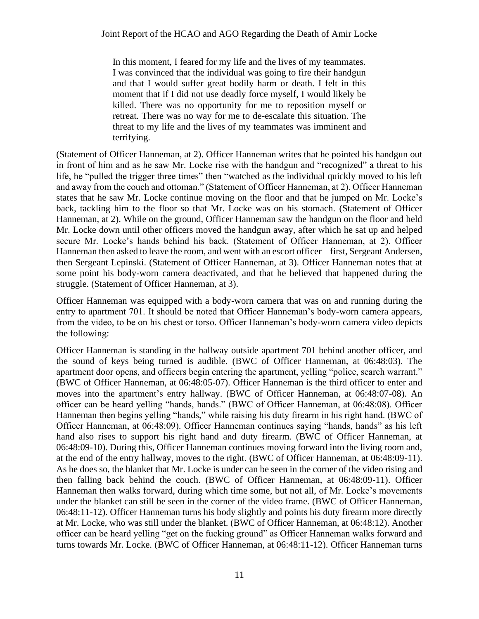In this moment, I feared for my life and the lives of my teammates. I was convinced that the individual was going to fire their handgun and that I would suffer great bodily harm or death. I felt in this moment that if I did not use deadly force myself, I would likely be killed. There was no opportunity for me to reposition myself or retreat. There was no way for me to de-escalate this situation. The threat to my life and the lives of my teammates was imminent and terrifying.

(Statement of Officer Hanneman, at 2). Officer Hanneman writes that he pointed his handgun out in front of him and as he saw Mr. Locke rise with the handgun and "recognized" a threat to his life, he "pulled the trigger three times" then "watched as the individual quickly moved to his left and away from the couch and ottoman." (Statement of Officer Hanneman, at 2). Officer Hanneman states that he saw Mr. Locke continue moving on the floor and that he jumped on Mr. Locke's back, tackling him to the floor so that Mr. Locke was on his stomach. (Statement of Officer Hanneman, at 2). While on the ground, Officer Hanneman saw the handgun on the floor and held Mr. Locke down until other officers moved the handgun away, after which he sat up and helped secure Mr. Locke's hands behind his back. (Statement of Officer Hanneman, at 2). Officer Hanneman then asked to leave the room, and went with an escort officer – first, Sergeant Andersen, then Sergeant Lepinski. (Statement of Officer Hanneman, at 3). Officer Hanneman notes that at some point his body-worn camera deactivated, and that he believed that happened during the struggle. (Statement of Officer Hanneman, at 3).

Officer Hanneman was equipped with a body-worn camera that was on and running during the entry to apartment 701. It should be noted that Officer Hanneman's body-worn camera appears, from the video, to be on his chest or torso. Officer Hanneman's body-worn camera video depicts the following:

Officer Hanneman is standing in the hallway outside apartment 701 behind another officer, and the sound of keys being turned is audible. (BWC of Officer Hanneman, at 06:48:03). The apartment door opens, and officers begin entering the apartment, yelling "police, search warrant." (BWC of Officer Hanneman, at 06:48:05-07). Officer Hanneman is the third officer to enter and moves into the apartment's entry hallway. (BWC of Officer Hanneman, at 06:48:07-08). An officer can be heard yelling "hands, hands." (BWC of Officer Hanneman, at 06:48:08). Officer Hanneman then begins yelling "hands," while raising his duty firearm in his right hand. (BWC of Officer Hanneman, at 06:48:09). Officer Hanneman continues saying "hands, hands" as his left hand also rises to support his right hand and duty firearm. (BWC of Officer Hanneman, at 06:48:09-10). During this, Officer Hanneman continues moving forward into the living room and, at the end of the entry hallway, moves to the right. (BWC of Officer Hanneman, at 06:48:09-11). As he does so, the blanket that Mr. Locke is under can be seen in the corner of the video rising and then falling back behind the couch. (BWC of Officer Hanneman, at 06:48:09-11). Officer Hanneman then walks forward, during which time some, but not all, of Mr. Locke's movements under the blanket can still be seen in the corner of the video frame. (BWC of Officer Hanneman, 06:48:11-12). Officer Hanneman turns his body slightly and points his duty firearm more directly at Mr. Locke, who was still under the blanket. (BWC of Officer Hanneman, at 06:48:12). Another officer can be heard yelling "get on the fucking ground" as Officer Hanneman walks forward and turns towards Mr. Locke. (BWC of Officer Hanneman, at 06:48:11-12). Officer Hanneman turns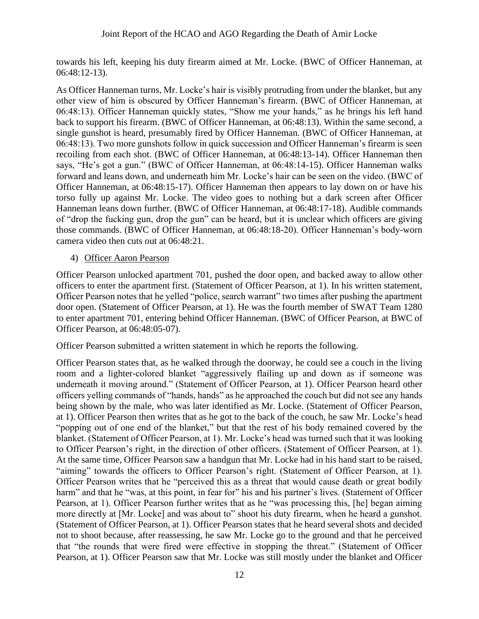towards his left, keeping his duty firearm aimed at Mr. Locke. (BWC of Officer Hanneman, at 06:48:12-13).

As Officer Hanneman turns, Mr. Locke's hair is visibly protruding from under the blanket, but any other view of him is obscured by Officer Hanneman's firearm. (BWC of Officer Hanneman, at 06:48:13). Officer Hanneman quickly states, "Show me your hands," as he brings his left hand back to support his firearm. (BWC of Officer Hanneman, at 06:48:13). Within the same second, a single gunshot is heard, presumably fired by Officer Hanneman. (BWC of Officer Hanneman, at 06:48:13). Two more gunshots follow in quick succession and Officer Hanneman's firearm is seen recoiling from each shot. (BWC of Officer Hanneman, at 06:48:13-14). Officer Hanneman then says, "He's got a gun." (BWC of Officer Hanneman, at 06:48:14-15). Officer Hanneman walks forward and leans down, and underneath him Mr. Locke's hair can be seen on the video. (BWC of Officer Hanneman, at 06:48:15-17). Officer Hanneman then appears to lay down on or have his torso fully up against Mr. Locke. The video goes to nothing but a dark screen after Officer Hanneman leans down further. (BWC of Officer Hanneman, at 06:48:17-18). Audible commands of "drop the fucking gun, drop the gun" can be heard, but it is unclear which officers are giving those commands. (BWC of Officer Hanneman, at 06:48:18-20). Officer Hanneman's body-worn camera video then cuts out at 06:48:21.

4) Officer Aaron Pearson

Officer Pearson unlocked apartment 701, pushed the door open, and backed away to allow other officers to enter the apartment first. (Statement of Officer Pearson, at 1). In his written statement, Officer Pearson notes that he yelled "police, search warrant" two times after pushing the apartment door open. (Statement of Officer Pearson, at 1). He was the fourth member of SWAT Team 1280 to enter apartment 701, entering behind Officer Hanneman. (BWC of Officer Pearson, at BWC of Officer Pearson, at 06:48:05-07).

Officer Pearson submitted a written statement in which he reports the following.

Officer Pearson states that, as he walked through the doorway, he could see a couch in the living room and a lighter-colored blanket "aggressively flailing up and down as if someone was underneath it moving around." (Statement of Officer Pearson, at 1). Officer Pearson heard other officers yelling commands of "hands, hands" as he approached the couch but did not see any hands being shown by the male, who was later identified as Mr. Locke. (Statement of Officer Pearson, at 1). Officer Pearson then writes that as he got to the back of the couch, he saw Mr. Locke's head "popping out of one end of the blanket," but that the rest of his body remained covered by the blanket. (Statement of Officer Pearson, at 1). Mr. Locke's head was turned such that it was looking to Officer Pearson's right, in the direction of other officers. (Statement of Officer Pearson, at 1). At the same time, Officer Pearson saw a handgun that Mr. Locke had in his hand start to be raised, "aiming" towards the officers to Officer Pearson's right. (Statement of Officer Pearson, at 1). Officer Pearson writes that he "perceived this as a threat that would cause death or great bodily harm" and that he "was, at this point, in fear for" his and his partner's lives. (Statement of Officer Pearson, at 1). Officer Pearson further writes that as he "was processing this, [he] began aiming more directly at [Mr. Locke] and was about to" shoot his duty firearm, when he heard a gunshot. (Statement of Officer Pearson, at 1). Officer Pearson states that he heard several shots and decided not to shoot because, after reassessing, he saw Mr. Locke go to the ground and that he perceived that "the rounds that were fired were effective in stopping the threat." (Statement of Officer Pearson, at 1). Officer Pearson saw that Mr. Locke was still mostly under the blanket and Officer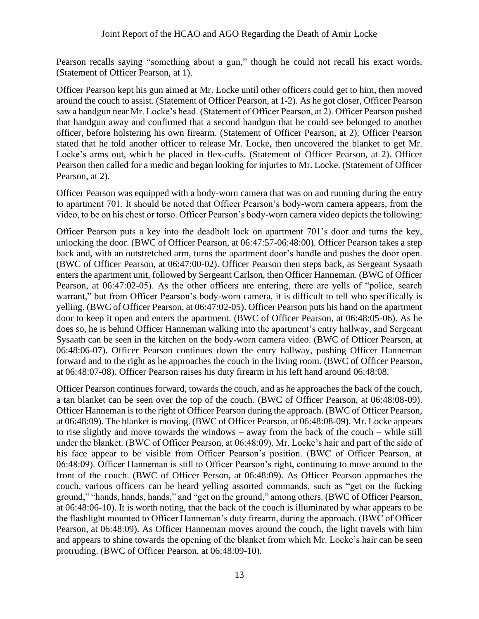Pearson recalls saying "something about a gun," though he could not recall his exact words. (Statement of Officer Pearson, at 1).

Officer Pearson kept his gun aimed at Mr. Locke until other officers could get to him, then moved around the couch to assist. (Statement of Officer Pearson, at 1-2). As he got closer, Officer Pearson saw a handgun near Mr. Locke's head. (Statement of Officer Pearson, at 2). Officer Pearson pushed that handgun away and confirmed that a second handgun that he could see belonged to another officer, before holstering his own firearm. (Statement of Officer Pearson, at 2). Officer Pearson stated that he told another officer to release Mr. Locke, then uncovered the blanket to get Mr. Locke's arms out, which he placed in flex-cuffs. (Statement of Officer Pearson, at 2). Officer Pearson then called for a medic and began looking for injuries to Mr. Locke. (Statement of Officer Pearson, at 2).

Officer Pearson was equipped with a body-worn camera that was on and running during the entry to apartment 701. It should be noted that Officer Pearson's body-worn camera appears, from the video, to be on his chest or torso. Officer Pearson's body-worn camera video depicts the following:

Officer Pearson puts a key into the deadbolt lock on apartment 701's door and turns the key, unlocking the door. (BWC of Officer Pearson, at 06:47:57-06:48:00). Officer Pearson takes a step back and, with an outstretched arm, turns the apartment door's handle and pushes the door open. (BWC of Officer Pearson, at 06:47:00-02). Officer Pearson then steps back, as Sergeant Sysaath enters the apartment unit, followed by Sergeant Carlson, then Officer Hanneman. (BWC of Officer Pearson, at 06:47:02-05). As the other officers are entering, there are yells of "police, search warrant," but from Officer Pearson's body-worn camera, it is difficult to tell who specifically is yelling. (BWC of Officer Pearson, at 06:47:02-05). Officer Pearson puts his hand on the apartment door to keep it open and enters the apartment. (BWC of Officer Pearson, at 06:48:05-06). As he does so, he is behind Officer Hanneman walking into the apartment's entry hallway, and Sergeant Sysaath can be seen in the kitchen on the body-worn camera video. (BWC of Officer Pearson, at 06:48:06-07). Officer Pearson continues down the entry hallway, pushing Officer Hanneman forward and to the right as he approaches the couch in the living room. (BWC of Officer Pearson, at 06:48:07-08). Officer Pearson raises his duty firearm in his left hand around 06:48:08.

Officer Pearson continues forward, towards the couch, and as he approaches the back of the couch, a tan blanket can be seen over the top of the couch. (BWC of Officer Pearson, at 06:48:08-09). Officer Hanneman is to the right of Officer Pearson during the approach. (BWC of Officer Pearson, at 06:48:09). The blanket is moving. (BWC of Officer Pearson, at 06:48:08-09). Mr. Locke appears to rise slightly and move towards the windows – away from the back of the couch – while still under the blanket. (BWC of Officer Pearson, at 06:48:09). Mr. Locke's hair and part of the side of his face appear to be visible from Officer Pearson's position. (BWC of Officer Pearson, at 06:48:09). Officer Hanneman is still to Officer Pearson's right, continuing to move around to the front of the couch. (BWC of Officer Person, at 06:48:09). As Officer Pearson approaches the couch, various officers can be heard yelling assorted commands, such as "get on the fucking ground," "hands, hands, hands," and "get on the ground," among others. (BWC of Officer Pearson, at 06:48:06-10). It is worth noting, that the back of the couch is illuminated by what appears to be the flashlight mounted to Officer Hanneman's duty firearm, during the approach. (BWC of Officer Pearson, at 06:48:09). As Officer Hanneman moves around the couch, the light travels with him and appears to shine towards the opening of the blanket from which Mr. Locke's hair can be seen protruding. (BWC of Officer Pearson, at 06:48:09-10).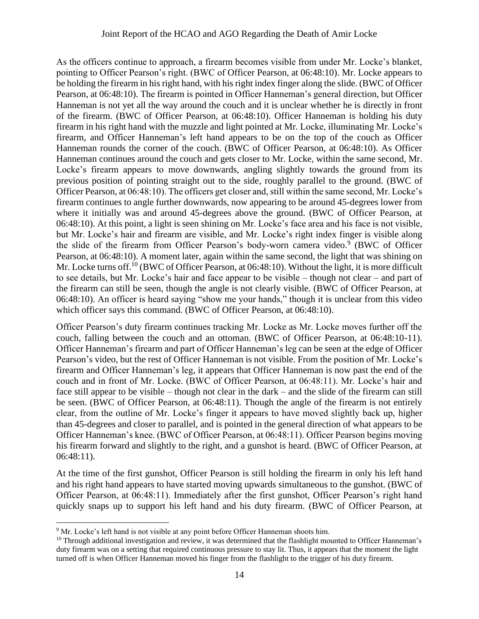As the officers continue to approach, a firearm becomes visible from under Mr. Locke's blanket, pointing to Officer Pearson's right. (BWC of Officer Pearson, at 06:48:10). Mr. Locke appears to be holding the firearm in his right hand, with his right index finger along the slide. (BWC of Officer Pearson, at 06:48:10). The firearm is pointed in Officer Hanneman's general direction, but Officer Hanneman is not yet all the way around the couch and it is unclear whether he is directly in front of the firearm. (BWC of Officer Pearson, at 06:48:10). Officer Hanneman is holding his duty firearm in his right hand with the muzzle and light pointed at Mr. Locke, illuminating Mr. Locke's firearm, and Officer Hanneman's left hand appears to be on the top of the couch as Officer Hanneman rounds the corner of the couch. (BWC of Officer Pearson, at 06:48:10). As Officer Hanneman continues around the couch and gets closer to Mr. Locke, within the same second, Mr. Locke's firearm appears to move downwards, angling slightly towards the ground from its previous position of pointing straight out to the side, roughly parallel to the ground. (BWC of Officer Pearson, at 06:48:10). The officers get closer and, still within the same second, Mr. Locke's firearm continues to angle further downwards, now appearing to be around 45-degrees lower from where it initially was and around 45-degrees above the ground. (BWC of Officer Pearson, at 06:48:10). At this point, a light is seen shining on Mr. Locke's face area and his face is not visible, but Mr. Locke's hair and firearm are visible, and Mr. Locke's right index finger is visible along the slide of the firearm from Officer Pearson's body-worn camera video.<sup>9</sup> (BWC of Officer Pearson, at 06:48:10). A moment later, again within the same second, the light that was shining on Mr. Locke turns off.<sup>10</sup> (BWC of Officer Pearson, at 06:48:10). Without the light, it is more difficult to see details, but Mr. Locke's hair and face appear to be visible – though not clear – and part of the firearm can still be seen, though the angle is not clearly visible. (BWC of Officer Pearson, at 06:48:10). An officer is heard saying "show me your hands," though it is unclear from this video which officer says this command. (BWC of Officer Pearson, at 06:48:10).

Officer Pearson's duty firearm continues tracking Mr. Locke as Mr. Locke moves further off the couch, falling between the couch and an ottoman. (BWC of Officer Pearson, at 06:48:10-11). Officer Hanneman's firearm and part of Officer Hanneman's leg can be seen at the edge of Officer Pearson's video, but the rest of Officer Hanneman is not visible. From the position of Mr. Locke's firearm and Officer Hanneman's leg, it appears that Officer Hanneman is now past the end of the couch and in front of Mr. Locke. (BWC of Officer Pearson, at 06:48:11). Mr. Locke's hair and face still appear to be visible – though not clear in the dark – and the slide of the firearm can still be seen. (BWC of Officer Pearson, at 06:48:11). Though the angle of the firearm is not entirely clear, from the outline of Mr. Locke's finger it appears to have moved slightly back up, higher than 45-degrees and closer to parallel, and is pointed in the general direction of what appears to be Officer Hanneman's knee. (BWC of Officer Pearson, at 06:48:11). Officer Pearson begins moving his firearm forward and slightly to the right, and a gunshot is heard. (BWC of Officer Pearson, at 06:48:11).

At the time of the first gunshot, Officer Pearson is still holding the firearm in only his left hand and his right hand appears to have started moving upwards simultaneous to the gunshot. (BWC of Officer Pearson, at 06:48:11). Immediately after the first gunshot, Officer Pearson's right hand quickly snaps up to support his left hand and his duty firearm. (BWC of Officer Pearson, at

 $9$  Mr. Locke's left hand is not visible at any point before Officer Hanneman shoots him.

<sup>&</sup>lt;sup>10</sup> Through additional investigation and review, it was determined that the flashlight mounted to Officer Hanneman's duty firearm was on a setting that required continuous pressure to stay lit. Thus, it appears that the moment the light turned off is when Officer Hanneman moved his finger from the flashlight to the trigger of his duty firearm.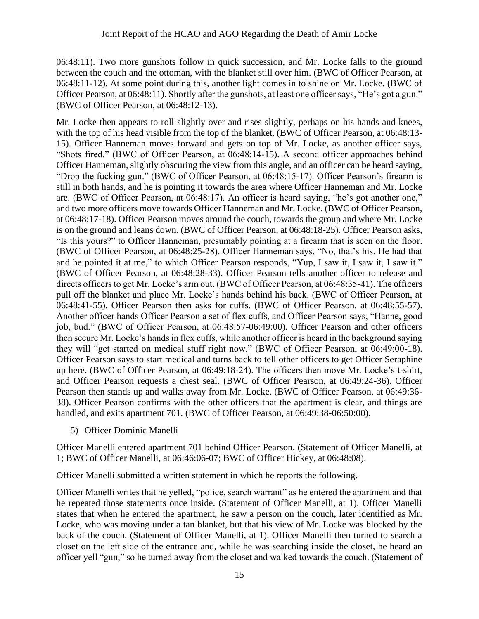06:48:11). Two more gunshots follow in quick succession, and Mr. Locke falls to the ground between the couch and the ottoman, with the blanket still over him. (BWC of Officer Pearson, at 06:48:11-12). At some point during this, another light comes in to shine on Mr. Locke. (BWC of Officer Pearson, at 06:48:11). Shortly after the gunshots, at least one officer says, "He's got a gun." (BWC of Officer Pearson, at 06:48:12-13).

Mr. Locke then appears to roll slightly over and rises slightly, perhaps on his hands and knees, with the top of his head visible from the top of the blanket. (BWC of Officer Pearson, at 06:48:13- 15). Officer Hanneman moves forward and gets on top of Mr. Locke, as another officer says, "Shots fired." (BWC of Officer Pearson, at 06:48:14-15). A second officer approaches behind Officer Hanneman, slightly obscuring the view from this angle, and an officer can be heard saying, "Drop the fucking gun." (BWC of Officer Pearson, at 06:48:15-17). Officer Pearson's firearm is still in both hands, and he is pointing it towards the area where Officer Hanneman and Mr. Locke are. (BWC of Officer Pearson, at 06:48:17). An officer is heard saying, "he's got another one," and two more officers move towards Officer Hanneman and Mr. Locke. (BWC of Officer Pearson, at 06:48:17-18). Officer Pearson moves around the couch, towards the group and where Mr. Locke is on the ground and leans down. (BWC of Officer Pearson, at 06:48:18-25). Officer Pearson asks, "Is this yours?" to Officer Hanneman, presumably pointing at a firearm that is seen on the floor. (BWC of Officer Pearson, at 06:48:25-28). Officer Hanneman says, "No, that's his. He had that and he pointed it at me," to which Officer Pearson responds, "Yup, I saw it, I saw it, I saw it." (BWC of Officer Pearson, at 06:48:28-33). Officer Pearson tells another officer to release and directs officers to get Mr. Locke's arm out. (BWC of Officer Pearson, at 06:48:35-41). The officers pull off the blanket and place Mr. Locke's hands behind his back. (BWC of Officer Pearson, at 06:48:41-55). Officer Pearson then asks for cuffs. (BWC of Officer Pearson, at 06:48:55-57). Another officer hands Officer Pearson a set of flex cuffs, and Officer Pearson says, "Hanne, good job, bud." (BWC of Officer Pearson, at 06:48:57-06:49:00). Officer Pearson and other officers then secure Mr. Locke's hands in flex cuffs, while another officer is heard in the background saying they will "get started on medical stuff right now." (BWC of Officer Pearson, at 06:49:00-18). Officer Pearson says to start medical and turns back to tell other officers to get Officer Seraphine up here. (BWC of Officer Pearson, at 06:49:18-24). The officers then move Mr. Locke's t-shirt, and Officer Pearson requests a chest seal. (BWC of Officer Pearson, at 06:49:24-36). Officer Pearson then stands up and walks away from Mr. Locke. (BWC of Officer Pearson, at 06:49:36- 38). Officer Pearson confirms with the other officers that the apartment is clear, and things are handled, and exits apartment 701. (BWC of Officer Pearson, at 06:49:38-06:50:00).

5) Officer Dominic Manelli

Officer Manelli entered apartment 701 behind Officer Pearson. (Statement of Officer Manelli, at 1; BWC of Officer Manelli, at 06:46:06-07; BWC of Officer Hickey, at 06:48:08).

Officer Manelli submitted a written statement in which he reports the following.

Officer Manelli writes that he yelled, "police, search warrant" as he entered the apartment and that he repeated those statements once inside. (Statement of Officer Manelli, at 1). Officer Manelli states that when he entered the apartment, he saw a person on the couch, later identified as Mr. Locke, who was moving under a tan blanket, but that his view of Mr. Locke was blocked by the back of the couch. (Statement of Officer Manelli, at 1). Officer Manelli then turned to search a closet on the left side of the entrance and, while he was searching inside the closet, he heard an officer yell "gun," so he turned away from the closet and walked towards the couch. (Statement of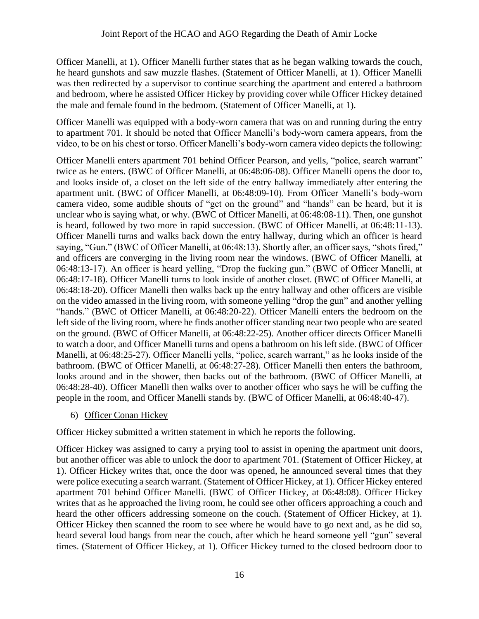Officer Manelli, at 1). Officer Manelli further states that as he began walking towards the couch, he heard gunshots and saw muzzle flashes. (Statement of Officer Manelli, at 1). Officer Manelli was then redirected by a supervisor to continue searching the apartment and entered a bathroom and bedroom, where he assisted Officer Hickey by providing cover while Officer Hickey detained the male and female found in the bedroom. (Statement of Officer Manelli, at 1).

Officer Manelli was equipped with a body-worn camera that was on and running during the entry to apartment 701. It should be noted that Officer Manelli's body-worn camera appears, from the video, to be on his chest or torso. Officer Manelli's body-worn camera video depicts the following:

Officer Manelli enters apartment 701 behind Officer Pearson, and yells, "police, search warrant" twice as he enters. (BWC of Officer Manelli, at 06:48:06-08). Officer Manelli opens the door to, and looks inside of, a closet on the left side of the entry hallway immediately after entering the apartment unit. (BWC of Officer Manelli, at 06:48:09-10). From Officer Manelli's body-worn camera video, some audible shouts of "get on the ground" and "hands" can be heard, but it is unclear who is saying what, or why. (BWC of Officer Manelli, at 06:48:08-11). Then, one gunshot is heard, followed by two more in rapid succession. (BWC of Officer Manelli, at 06:48:11-13). Officer Manelli turns and walks back down the entry hallway, during which an officer is heard saying, "Gun." (BWC of Officer Manelli, at 06:48:13). Shortly after, an officer says, "shots fired," and officers are converging in the living room near the windows. (BWC of Officer Manelli, at 06:48:13-17). An officer is heard yelling, "Drop the fucking gun." (BWC of Officer Manelli, at 06:48:17-18). Officer Manelli turns to look inside of another closet. (BWC of Officer Manelli, at 06:48:18-20). Officer Manelli then walks back up the entry hallway and other officers are visible on the video amassed in the living room, with someone yelling "drop the gun" and another yelling "hands." (BWC of Officer Manelli, at 06:48:20-22). Officer Manelli enters the bedroom on the left side of the living room, where he finds another officer standing near two people who are seated on the ground. (BWC of Officer Manelli, at 06:48:22-25). Another officer directs Officer Manelli to watch a door, and Officer Manelli turns and opens a bathroom on his left side. (BWC of Officer Manelli, at 06:48:25-27). Officer Manelli yells, "police, search warrant," as he looks inside of the bathroom. (BWC of Officer Manelli, at 06:48:27-28). Officer Manelli then enters the bathroom, looks around and in the shower, then backs out of the bathroom. (BWC of Officer Manelli, at 06:48:28-40). Officer Manelli then walks over to another officer who says he will be cuffing the people in the room, and Officer Manelli stands by. (BWC of Officer Manelli, at 06:48:40-47).

6) Officer Conan Hickey

Officer Hickey submitted a written statement in which he reports the following.

Officer Hickey was assigned to carry a prying tool to assist in opening the apartment unit doors, but another officer was able to unlock the door to apartment 701. (Statement of Officer Hickey, at 1). Officer Hickey writes that, once the door was opened, he announced several times that they were police executing a search warrant. (Statement of Officer Hickey, at 1). Officer Hickey entered apartment 701 behind Officer Manelli. (BWC of Officer Hickey, at 06:48:08). Officer Hickey writes that as he approached the living room, he could see other officers approaching a couch and heard the other officers addressing someone on the couch. (Statement of Officer Hickey, at 1). Officer Hickey then scanned the room to see where he would have to go next and, as he did so, heard several loud bangs from near the couch, after which he heard someone yell "gun" several times. (Statement of Officer Hickey, at 1). Officer Hickey turned to the closed bedroom door to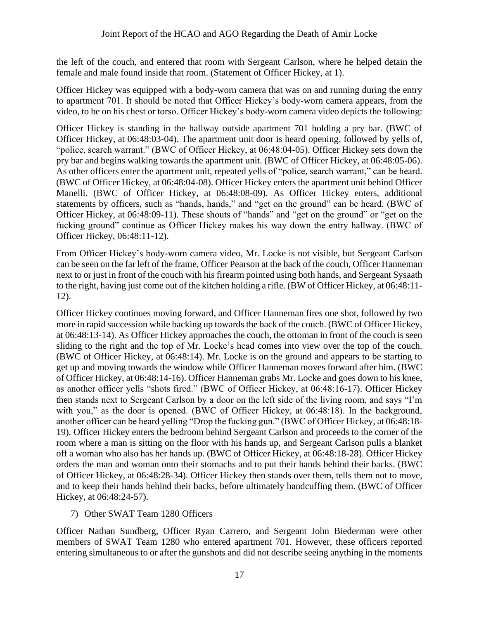the left of the couch, and entered that room with Sergeant Carlson, where he helped detain the female and male found inside that room. (Statement of Officer Hickey, at 1).

Officer Hickey was equipped with a body-worn camera that was on and running during the entry to apartment 701. It should be noted that Officer Hickey's body-worn camera appears, from the video, to be on his chest or torso. Officer Hickey's body-worn camera video depicts the following:

Officer Hickey is standing in the hallway outside apartment 701 holding a pry bar. (BWC of Officer Hickey, at 06:48:03-04). The apartment unit door is heard opening, followed by yells of, "police, search warrant." (BWC of Officer Hickey, at 06:48:04-05). Officer Hickey sets down the pry bar and begins walking towards the apartment unit. (BWC of Officer Hickey, at 06:48:05-06). As other officers enter the apartment unit, repeated yells of "police, search warrant," can be heard. (BWC of Officer Hickey, at 06:48:04-08). Officer Hickey enters the apartment unit behind Officer Manelli. (BWC of Officer Hickey, at 06:48:08-09). As Officer Hickey enters, additional statements by officers, such as "hands, hands," and "get on the ground" can be heard. (BWC of Officer Hickey, at 06:48:09-11). These shouts of "hands" and "get on the ground" or "get on the fucking ground" continue as Officer Hickey makes his way down the entry hallway. (BWC of Officer Hickey, 06:48:11-12).

From Officer Hickey's body-worn camera video, Mr. Locke is not visible, but Sergeant Carlson can be seen on the far left of the frame, Officer Pearson at the back of the couch, Officer Hanneman next to or just in front of the couch with his firearm pointed using both hands, and Sergeant Sysaath to the right, having just come out of the kitchen holding a rifle. (BW of Officer Hickey, at 06:48:11- 12).

Officer Hickey continues moving forward, and Officer Hanneman fires one shot, followed by two more in rapid succession while backing up towards the back of the couch. (BWC of Officer Hickey, at 06:48:13-14). As Officer Hickey approaches the couch, the ottoman in front of the couch is seen sliding to the right and the top of Mr. Locke's head comes into view over the top of the couch. (BWC of Officer Hickey, at 06:48:14). Mr. Locke is on the ground and appears to be starting to get up and moving towards the window while Officer Hanneman moves forward after him. (BWC of Officer Hickey, at 06:48:14-16). Officer Hanneman grabs Mr. Locke and goes down to his knee, as another officer yells "shots fired." (BWC of Officer Hickey, at 06:48:16-17). Officer Hickey then stands next to Sergeant Carlson by a door on the left side of the living room, and says "I'm with you," as the door is opened. (BWC of Officer Hickey, at 06:48:18). In the background, another officer can be heard yelling "Drop the fucking gun." (BWC of Officer Hickey, at 06:48:18- 19). Officer Hickey enters the bedroom behind Sergeant Carlson and proceeds to the corner of the room where a man is sitting on the floor with his hands up, and Sergeant Carlson pulls a blanket off a woman who also has her hands up. (BWC of Officer Hickey, at 06:48:18-28). Officer Hickey orders the man and woman onto their stomachs and to put their hands behind their backs. (BWC of Officer Hickey, at 06:48:28-34). Officer Hickey then stands over them, tells them not to move, and to keep their hands behind their backs, before ultimately handcuffing them. (BWC of Officer Hickey, at 06:48:24-57).

## 7) Other SWAT Team 1280 Officers

Officer Nathan Sundberg, Officer Ryan Carrero, and Sergeant John Biederman were other members of SWAT Team 1280 who entered apartment 701. However, these officers reported entering simultaneous to or after the gunshots and did not describe seeing anything in the moments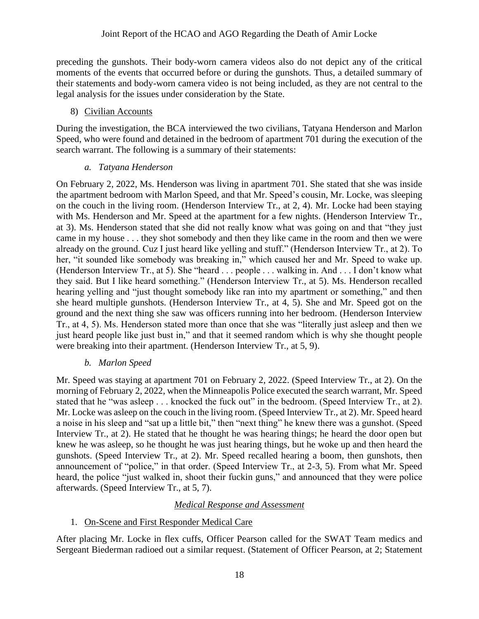preceding the gunshots. Their body-worn camera videos also do not depict any of the critical moments of the events that occurred before or during the gunshots. Thus, a detailed summary of their statements and body-worn camera video is not being included, as they are not central to the legal analysis for the issues under consideration by the State.

#### 8) Civilian Accounts

During the investigation, the BCA interviewed the two civilians, Tatyana Henderson and Marlon Speed, who were found and detained in the bedroom of apartment 701 during the execution of the search warrant. The following is a summary of their statements:

#### *a. Tatyana Henderson*

On February 2, 2022, Ms. Henderson was living in apartment 701. She stated that she was inside the apartment bedroom with Marlon Speed, and that Mr. Speed's cousin, Mr. Locke, was sleeping on the couch in the living room. (Henderson Interview Tr., at 2, 4). Mr. Locke had been staying with Ms. Henderson and Mr. Speed at the apartment for a few nights. (Henderson Interview Tr., at 3). Ms. Henderson stated that she did not really know what was going on and that "they just came in my house . . . they shot somebody and then they like came in the room and then we were already on the ground. Cuz I just heard like yelling and stuff." (Henderson Interview Tr., at 2). To her, "it sounded like somebody was breaking in," which caused her and Mr. Speed to wake up. (Henderson Interview Tr., at 5). She "heard . . . people . . . walking in. And . . . I don't know what they said. But I like heard something." (Henderson Interview Tr., at 5). Ms. Henderson recalled hearing yelling and "just thought somebody like ran into my apartment or something," and then she heard multiple gunshots. (Henderson Interview Tr., at 4, 5). She and Mr. Speed got on the ground and the next thing she saw was officers running into her bedroom. (Henderson Interview Tr., at 4, 5). Ms. Henderson stated more than once that she was "literally just asleep and then we just heard people like just bust in," and that it seemed random which is why she thought people were breaking into their apartment. (Henderson Interview Tr., at 5, 9).

## *b. Marlon Speed*

Mr. Speed was staying at apartment 701 on February 2, 2022. (Speed Interview Tr., at 2). On the morning of February 2, 2022, when the Minneapolis Police executed the search warrant, Mr. Speed stated that he "was asleep . . . knocked the fuck out" in the bedroom. (Speed Interview Tr., at 2). Mr. Locke was asleep on the couch in the living room. (Speed Interview Tr., at 2). Mr. Speed heard a noise in his sleep and "sat up a little bit," then "next thing" he knew there was a gunshot. (Speed Interview Tr., at 2). He stated that he thought he was hearing things; he heard the door open but knew he was asleep, so he thought he was just hearing things, but he woke up and then heard the gunshots. (Speed Interview Tr., at 2). Mr. Speed recalled hearing a boom, then gunshots, then announcement of "police," in that order. (Speed Interview Tr., at 2-3, 5). From what Mr. Speed heard, the police "just walked in, shoot their fuckin guns," and announced that they were police afterwards. (Speed Interview Tr., at 5, 7).

# *Medical Response and Assessment*

## 1. On-Scene and First Responder Medical Care

After placing Mr. Locke in flex cuffs, Officer Pearson called for the SWAT Team medics and Sergeant Biederman radioed out a similar request. (Statement of Officer Pearson, at 2; Statement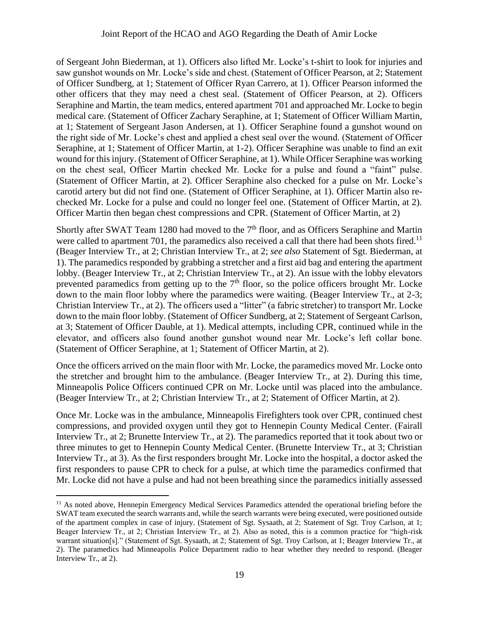of Sergeant John Biederman, at 1). Officers also lifted Mr. Locke's t-shirt to look for injuries and saw gunshot wounds on Mr. Locke's side and chest. (Statement of Officer Pearson, at 2; Statement of Officer Sundberg, at 1; Statement of Officer Ryan Carrero, at 1). Officer Pearson informed the other officers that they may need a chest seal. (Statement of Officer Pearson, at 2). Officers Seraphine and Martin, the team medics, entered apartment 701 and approached Mr. Locke to begin medical care. (Statement of Officer Zachary Seraphine, at 1; Statement of Officer William Martin, at 1; Statement of Sergeant Jason Andersen, at 1). Officer Seraphine found a gunshot wound on the right side of Mr. Locke's chest and applied a chest seal over the wound. (Statement of Officer Seraphine, at 1; Statement of Officer Martin, at 1-2). Officer Seraphine was unable to find an exit wound for this injury. (Statement of Officer Seraphine, at 1). While Officer Seraphine was working on the chest seal, Officer Martin checked Mr. Locke for a pulse and found a "faint" pulse. (Statement of Officer Martin, at 2). Officer Seraphine also checked for a pulse on Mr. Locke's carotid artery but did not find one. (Statement of Officer Seraphine, at 1). Officer Martin also rechecked Mr. Locke for a pulse and could no longer feel one. (Statement of Officer Martin, at 2). Officer Martin then began chest compressions and CPR. (Statement of Officer Martin, at 2)

Shortly after SWAT Team 1280 had moved to the 7<sup>th</sup> floor, and as Officers Seraphine and Martin were called to apartment 701, the paramedics also received a call that there had been shots fired.<sup>11</sup> (Beager Interview Tr., at 2; Christian Interview Tr., at 2; *see also* Statement of Sgt. Biederman, at 1). The paramedics responded by grabbing a stretcher and a first aid bag and entering the apartment lobby. (Beager Interview Tr., at 2; Christian Interview Tr., at 2). An issue with the lobby elevators prevented paramedics from getting up to the  $7<sup>th</sup>$  floor, so the police officers brought Mr. Locke down to the main floor lobby where the paramedics were waiting. (Beager Interview Tr., at 2-3; Christian Interview Tr., at 2). The officers used a "litter" (a fabric stretcher) to transport Mr. Locke down to the main floor lobby. (Statement of Officer Sundberg, at 2; Statement of Sergeant Carlson, at 3; Statement of Officer Dauble, at 1). Medical attempts, including CPR, continued while in the elevator, and officers also found another gunshot wound near Mr. Locke's left collar bone. (Statement of Officer Seraphine, at 1; Statement of Officer Martin, at 2).

Once the officers arrived on the main floor with Mr. Locke, the paramedics moved Mr. Locke onto the stretcher and brought him to the ambulance. (Beager Interview Tr., at 2). During this time, Minneapolis Police Officers continued CPR on Mr. Locke until was placed into the ambulance. (Beager Interview Tr., at 2; Christian Interview Tr., at 2; Statement of Officer Martin, at 2).

Once Mr. Locke was in the ambulance, Minneapolis Firefighters took over CPR, continued chest compressions, and provided oxygen until they got to Hennepin County Medical Center. (Fairall Interview Tr., at 2; Brunette Interview Tr., at 2). The paramedics reported that it took about two or three minutes to get to Hennepin County Medical Center. (Brunette Interview Tr., at 3; Christian Interview Tr., at 3). As the first responders brought Mr. Locke into the hospital, a doctor asked the first responders to pause CPR to check for a pulse, at which time the paramedics confirmed that Mr. Locke did not have a pulse and had not been breathing since the paramedics initially assessed

<sup>&</sup>lt;sup>11</sup> As noted above, Hennepin Emergency Medical Services Paramedics attended the operational briefing before the SWAT team executed the search warrants and, while the search warrants were being executed, were positioned outside of the apartment complex in case of injury. (Statement of Sgt. Sysaath, at 2; Statement of Sgt. Troy Carlson, at 1; Beager Interview Tr., at 2; Christian Interview Tr., at 2). Also as noted, this is a common practice for "high-risk warrant situation[s]." (Statement of Sgt. Sysaath, at 2; Statement of Sgt. Troy Carlson, at 1; Beager Interview Tr., at 2). The paramedics had Minneapolis Police Department radio to hear whether they needed to respond. (Beager Interview Tr., at 2).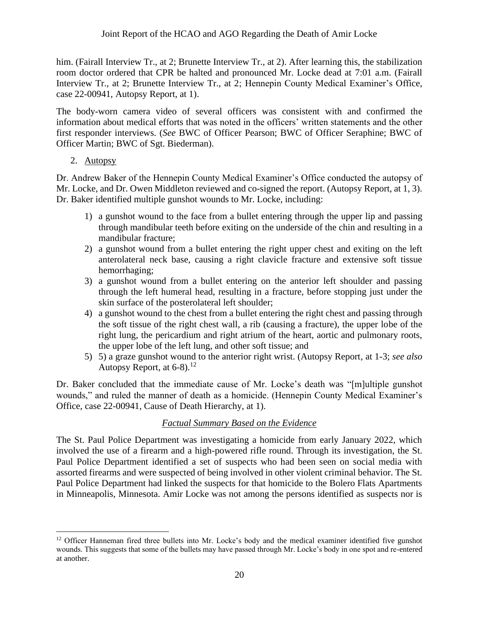him. (Fairall Interview Tr., at 2; Brunette Interview Tr., at 2). After learning this, the stabilization room doctor ordered that CPR be halted and pronounced Mr. Locke dead at 7:01 a.m. (Fairall Interview Tr., at 2; Brunette Interview Tr., at 2; Hennepin County Medical Examiner's Office, case 22-00941, Autopsy Report, at 1).

The body-worn camera video of several officers was consistent with and confirmed the information about medical efforts that was noted in the officers' written statements and the other first responder interviews. (*See* BWC of Officer Pearson; BWC of Officer Seraphine; BWC of Officer Martin; BWC of Sgt. Biederman).

2. Autopsy

Dr. Andrew Baker of the Hennepin County Medical Examiner's Office conducted the autopsy of Mr. Locke, and Dr. Owen Middleton reviewed and co-signed the report. (Autopsy Report, at 1, 3). Dr. Baker identified multiple gunshot wounds to Mr. Locke, including:

- 1) a gunshot wound to the face from a bullet entering through the upper lip and passing through mandibular teeth before exiting on the underside of the chin and resulting in a mandibular fracture;
- 2) a gunshot wound from a bullet entering the right upper chest and exiting on the left anterolateral neck base, causing a right clavicle fracture and extensive soft tissue hemorrhaging;
- 3) a gunshot wound from a bullet entering on the anterior left shoulder and passing through the left humeral head, resulting in a fracture, before stopping just under the skin surface of the posterolateral left shoulder;
- 4) a gunshot wound to the chest from a bullet entering the right chest and passing through the soft tissue of the right chest wall, a rib (causing a fracture), the upper lobe of the right lung, the pericardium and right atrium of the heart, aortic and pulmonary roots, the upper lobe of the left lung, and other soft tissue; and
- 5) 5) a graze gunshot wound to the anterior right wrist. (Autopsy Report, at 1-3; *see also*  Autopsy Report, at  $6-8$ ).<sup>12</sup>

Dr. Baker concluded that the immediate cause of Mr. Locke's death was "[m]ultiple gunshot wounds," and ruled the manner of death as a homicide. (Hennepin County Medical Examiner's Office, case 22-00941, Cause of Death Hierarchy, at 1).

# *Factual Summary Based on the Evidence*

The St. Paul Police Department was investigating a homicide from early January 2022, which involved the use of a firearm and a high-powered rifle round. Through its investigation, the St. Paul Police Department identified a set of suspects who had been seen on social media with assorted firearms and were suspected of being involved in other violent criminal behavior. The St. Paul Police Department had linked the suspects for that homicide to the Bolero Flats Apartments in Minneapolis, Minnesota. Amir Locke was not among the persons identified as suspects nor is

<sup>&</sup>lt;sup>12</sup> Officer Hanneman fired three bullets into Mr. Locke's body and the medical examiner identified five gunshot wounds. This suggests that some of the bullets may have passed through Mr. Locke's body in one spot and re-entered at another.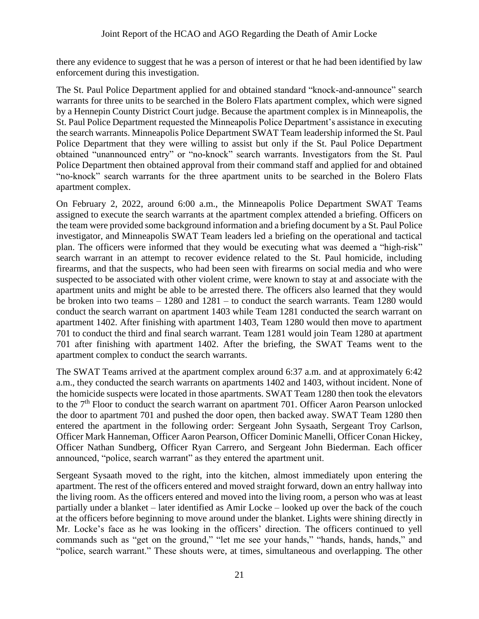there any evidence to suggest that he was a person of interest or that he had been identified by law enforcement during this investigation.

The St. Paul Police Department applied for and obtained standard "knock-and-announce" search warrants for three units to be searched in the Bolero Flats apartment complex, which were signed by a Hennepin County District Court judge. Because the apartment complex is in Minneapolis, the St. Paul Police Department requested the Minneapolis Police Department's assistance in executing the search warrants. Minneapolis Police Department SWAT Team leadership informed the St. Paul Police Department that they were willing to assist but only if the St. Paul Police Department obtained "unannounced entry" or "no-knock" search warrants. Investigators from the St. Paul Police Department then obtained approval from their command staff and applied for and obtained "no-knock" search warrants for the three apartment units to be searched in the Bolero Flats apartment complex.

On February 2, 2022, around 6:00 a.m., the Minneapolis Police Department SWAT Teams assigned to execute the search warrants at the apartment complex attended a briefing. Officers on the team were provided some background information and a briefing document by a St. Paul Police investigator, and Minneapolis SWAT Team leaders led a briefing on the operational and tactical plan. The officers were informed that they would be executing what was deemed a "high-risk" search warrant in an attempt to recover evidence related to the St. Paul homicide, including firearms, and that the suspects, who had been seen with firearms on social media and who were suspected to be associated with other violent crime, were known to stay at and associate with the apartment units and might be able to be arrested there. The officers also learned that they would be broken into two teams – 1280 and 1281 – to conduct the search warrants. Team 1280 would conduct the search warrant on apartment 1403 while Team 1281 conducted the search warrant on apartment 1402. After finishing with apartment 1403, Team 1280 would then move to apartment 701 to conduct the third and final search warrant. Team 1281 would join Team 1280 at apartment 701 after finishing with apartment 1402. After the briefing, the SWAT Teams went to the apartment complex to conduct the search warrants.

The SWAT Teams arrived at the apartment complex around 6:37 a.m. and at approximately 6:42 a.m., they conducted the search warrants on apartments 1402 and 1403, without incident. None of the homicide suspects were located in those apartments. SWAT Team 1280 then took the elevators to the 7<sup>th</sup> Floor to conduct the search warrant on apartment 701. Officer Aaron Pearson unlocked the door to apartment 701 and pushed the door open, then backed away. SWAT Team 1280 then entered the apartment in the following order: Sergeant John Sysaath, Sergeant Troy Carlson, Officer Mark Hanneman, Officer Aaron Pearson, Officer Dominic Manelli, Officer Conan Hickey, Officer Nathan Sundberg, Officer Ryan Carrero, and Sergeant John Biederman. Each officer announced, "police, search warrant" as they entered the apartment unit.

Sergeant Sysaath moved to the right, into the kitchen, almost immediately upon entering the apartment. The rest of the officers entered and moved straight forward, down an entry hallway into the living room. As the officers entered and moved into the living room, a person who was at least partially under a blanket – later identified as Amir Locke – looked up over the back of the couch at the officers before beginning to move around under the blanket. Lights were shining directly in Mr. Locke's face as he was looking in the officers' direction. The officers continued to yell commands such as "get on the ground," "let me see your hands," "hands, hands, hands," and "police, search warrant." These shouts were, at times, simultaneous and overlapping. The other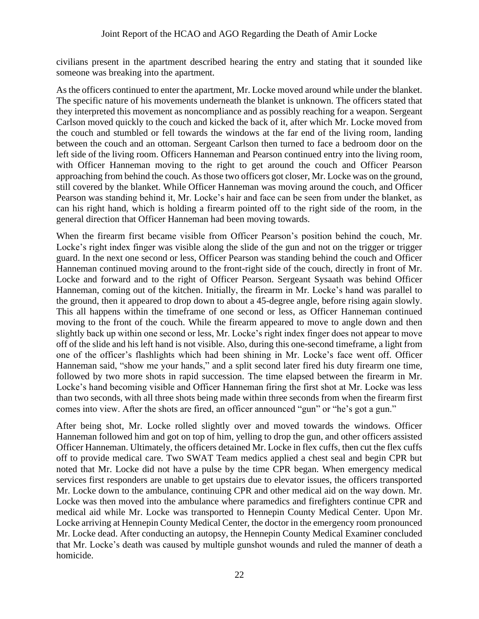civilians present in the apartment described hearing the entry and stating that it sounded like someone was breaking into the apartment.

As the officers continued to enter the apartment, Mr. Locke moved around while under the blanket. The specific nature of his movements underneath the blanket is unknown. The officers stated that they interpreted this movement as noncompliance and as possibly reaching for a weapon. Sergeant Carlson moved quickly to the couch and kicked the back of it, after which Mr. Locke moved from the couch and stumbled or fell towards the windows at the far end of the living room, landing between the couch and an ottoman. Sergeant Carlson then turned to face a bedroom door on the left side of the living room. Officers Hanneman and Pearson continued entry into the living room, with Officer Hanneman moving to the right to get around the couch and Officer Pearson approaching from behind the couch. As those two officers got closer, Mr. Locke was on the ground, still covered by the blanket. While Officer Hanneman was moving around the couch, and Officer Pearson was standing behind it, Mr. Locke's hair and face can be seen from under the blanket, as can his right hand, which is holding a firearm pointed off to the right side of the room, in the general direction that Officer Hanneman had been moving towards.

When the firearm first became visible from Officer Pearson's position behind the couch, Mr. Locke's right index finger was visible along the slide of the gun and not on the trigger or trigger guard. In the next one second or less, Officer Pearson was standing behind the couch and Officer Hanneman continued moving around to the front-right side of the couch, directly in front of Mr. Locke and forward and to the right of Officer Pearson. Sergeant Sysaath was behind Officer Hanneman, coming out of the kitchen. Initially, the firearm in Mr. Locke's hand was parallel to the ground, then it appeared to drop down to about a 45-degree angle, before rising again slowly. This all happens within the timeframe of one second or less, as Officer Hanneman continued moving to the front of the couch. While the firearm appeared to move to angle down and then slightly back up within one second or less, Mr. Locke's right index finger does not appear to move off of the slide and his left hand is not visible. Also, during this one-second timeframe, a light from one of the officer's flashlights which had been shining in Mr. Locke's face went off. Officer Hanneman said, "show me your hands," and a split second later fired his duty firearm one time, followed by two more shots in rapid succession. The time elapsed between the firearm in Mr. Locke's hand becoming visible and Officer Hanneman firing the first shot at Mr. Locke was less than two seconds, with all three shots being made within three seconds from when the firearm first comes into view. After the shots are fired, an officer announced "gun" or "he's got a gun."

After being shot, Mr. Locke rolled slightly over and moved towards the windows. Officer Hanneman followed him and got on top of him, yelling to drop the gun, and other officers assisted Officer Hanneman. Ultimately, the officers detained Mr. Locke in flex cuffs, then cut the flex cuffs off to provide medical care. Two SWAT Team medics applied a chest seal and begin CPR but noted that Mr. Locke did not have a pulse by the time CPR began. When emergency medical services first responders are unable to get upstairs due to elevator issues, the officers transported Mr. Locke down to the ambulance, continuing CPR and other medical aid on the way down. Mr. Locke was then moved into the ambulance where paramedics and firefighters continue CPR and medical aid while Mr. Locke was transported to Hennepin County Medical Center. Upon Mr. Locke arriving at Hennepin County Medical Center, the doctor in the emergency room pronounced Mr. Locke dead. After conducting an autopsy, the Hennepin County Medical Examiner concluded that Mr. Locke's death was caused by multiple gunshot wounds and ruled the manner of death a homicide.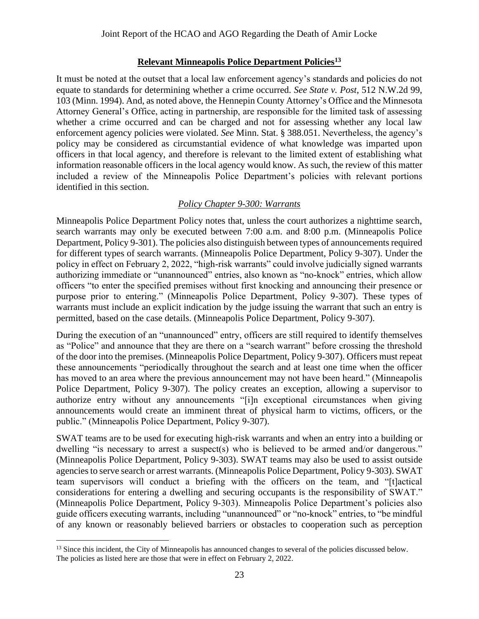## **Relevant Minneapolis Police Department Policies<sup>13</sup>**

It must be noted at the outset that a local law enforcement agency's standards and policies do not equate to standards for determining whether a crime occurred. *See State v. Post*, 512 N.W.2d 99, 103 (Minn. 1994). And, as noted above, the Hennepin County Attorney's Office and the Minnesota Attorney General's Office, acting in partnership, are responsible for the limited task of assessing whether a crime occurred and can be charged and not for assessing whether any local law enforcement agency policies were violated. *See* Minn. Stat. § 388.051. Nevertheless, the agency's policy may be considered as circumstantial evidence of what knowledge was imparted upon officers in that local agency, and therefore is relevant to the limited extent of establishing what information reasonable officers in the local agency would know. As such, the review of this matter included a review of the Minneapolis Police Department's policies with relevant portions identified in this section.

## *Policy Chapter 9-300: Warrants*

Minneapolis Police Department Policy notes that, unless the court authorizes a nighttime search, search warrants may only be executed between 7:00 a.m. and 8:00 p.m. (Minneapolis Police Department, Policy 9-301). The policies also distinguish between types of announcements required for different types of search warrants. (Minneapolis Police Department, Policy 9-307). Under the policy in effect on February 2, 2022, "high-risk warrants" could involve judicially signed warrants authorizing immediate or "unannounced" entries, also known as "no-knock" entries, which allow officers "to enter the specified premises without first knocking and announcing their presence or purpose prior to entering." (Minneapolis Police Department, Policy 9-307). These types of warrants must include an explicit indication by the judge issuing the warrant that such an entry is permitted, based on the case details. (Minneapolis Police Department, Policy 9-307).

During the execution of an "unannounced" entry, officers are still required to identify themselves as "Police" and announce that they are there on a "search warrant" before crossing the threshold of the door into the premises. (Minneapolis Police Department, Policy 9-307). Officers must repeat these announcements "periodically throughout the search and at least one time when the officer has moved to an area where the previous announcement may not have been heard." (Minneapolis Police Department, Policy 9-307). The policy creates an exception, allowing a supervisor to authorize entry without any announcements "[i]n exceptional circumstances when giving announcements would create an imminent threat of physical harm to victims, officers, or the public." (Minneapolis Police Department, Policy 9-307).

SWAT teams are to be used for executing high-risk warrants and when an entry into a building or dwelling "is necessary to arrest a suspect(s) who is believed to be armed and/or dangerous." (Minneapolis Police Department, Policy 9-303). SWAT teams may also be used to assist outside agencies to serve search or arrest warrants. (Minneapolis Police Department, Policy 9-303). SWAT team supervisors will conduct a briefing with the officers on the team, and "[t]actical considerations for entering a dwelling and securing occupants is the responsibility of SWAT." (Minneapolis Police Department, Policy 9-303). Minneapolis Police Department's policies also guide officers executing warrants, including "unannounced" or "no-knock" entries, to "be mindful of any known or reasonably believed barriers or obstacles to cooperation such as perception

<sup>&</sup>lt;sup>13</sup> Since this incident, the City of Minneapolis has announced changes to several of the policies discussed below. The policies as listed here are those that were in effect on February 2, 2022.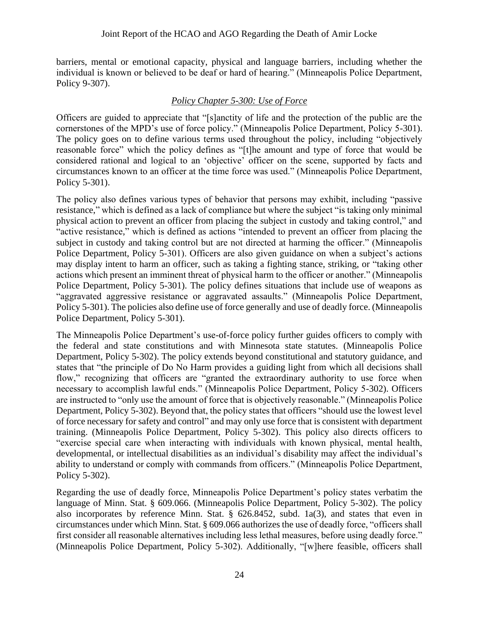barriers, mental or emotional capacity, physical and language barriers, including whether the individual is known or believed to be deaf or hard of hearing." (Minneapolis Police Department, Policy 9-307).

## *Policy Chapter 5-300: Use of Force*

Officers are guided to appreciate that "[s]anctity of life and the protection of the public are the cornerstones of the MPD's use of force policy." (Minneapolis Police Department, Policy 5-301). The policy goes on to define various terms used throughout the policy, including "objectively reasonable force" which the policy defines as "[t]he amount and type of force that would be considered rational and logical to an 'objective' officer on the scene, supported by facts and circumstances known to an officer at the time force was used." (Minneapolis Police Department, Policy 5-301).

The policy also defines various types of behavior that persons may exhibit, including "passive resistance," which is defined as a lack of compliance but where the subject "is taking only minimal physical action to prevent an officer from placing the subject in custody and taking control," and "active resistance," which is defined as actions "intended to prevent an officer from placing the subject in custody and taking control but are not directed at harming the officer." (Minneapolis Police Department, Policy 5-301). Officers are also given guidance on when a subject's actions may display intent to harm an officer, such as taking a fighting stance, striking, or "taking other actions which present an imminent threat of physical harm to the officer or another." (Minneapolis Police Department, Policy 5-301). The policy defines situations that include use of weapons as "aggravated aggressive resistance or aggravated assaults." (Minneapolis Police Department, Policy 5-301). The policies also define use of force generally and use of deadly force. (Minneapolis Police Department, Policy 5-301).

The Minneapolis Police Department's use-of-force policy further guides officers to comply with the federal and state constitutions and with Minnesota state statutes. (Minneapolis Police Department, Policy 5-302). The policy extends beyond constitutional and statutory guidance, and states that "the principle of Do No Harm provides a guiding light from which all decisions shall flow," recognizing that officers are "granted the extraordinary authority to use force when necessary to accomplish lawful ends." (Minneapolis Police Department, Policy 5-302). Officers are instructed to "only use the amount of force that is objectively reasonable." (Minneapolis Police Department, Policy 5-302). Beyond that, the policy states that officers "should use the lowest level of force necessary for safety and control" and may only use force that is consistent with department training. (Minneapolis Police Department, Policy 5-302). This policy also directs officers to "exercise special care when interacting with individuals with known physical, mental health, developmental, or intellectual disabilities as an individual's disability may affect the individual's ability to understand or comply with commands from officers." (Minneapolis Police Department, Policy 5-302).

Regarding the use of deadly force, Minneapolis Police Department's policy states verbatim the language of Minn. Stat. § 609.066. (Minneapolis Police Department, Policy 5-302). The policy also incorporates by reference Minn. Stat. § 626.8452, subd. 1a(3), and states that even in circumstances under which Minn. Stat. § 609.066 authorizes the use of deadly force, "officers shall first consider all reasonable alternatives including less lethal measures, before using deadly force." (Minneapolis Police Department, Policy 5-302). Additionally, "[w]here feasible, officers shall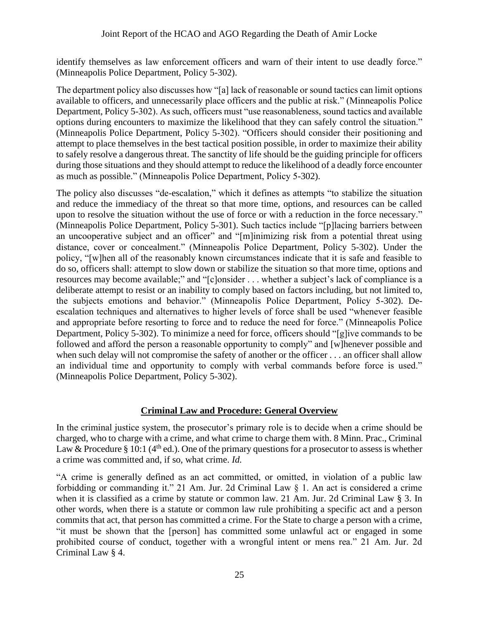identify themselves as law enforcement officers and warn of their intent to use deadly force." (Minneapolis Police Department, Policy 5-302).

The department policy also discusses how "[a] lack of reasonable or sound tactics can limit options available to officers, and unnecessarily place officers and the public at risk." (Minneapolis Police Department, Policy 5-302). As such, officers must "use reasonableness, sound tactics and available options during encounters to maximize the likelihood that they can safely control the situation." (Minneapolis Police Department, Policy 5-302). "Officers should consider their positioning and attempt to place themselves in the best tactical position possible, in order to maximize their ability to safely resolve a dangerous threat. The sanctity of life should be the guiding principle for officers during those situations and they should attempt to reduce the likelihood of a deadly force encounter as much as possible." (Minneapolis Police Department, Policy 5-302).

The policy also discusses "de-escalation," which it defines as attempts "to stabilize the situation and reduce the immediacy of the threat so that more time, options, and resources can be called upon to resolve the situation without the use of force or with a reduction in the force necessary." (Minneapolis Police Department, Policy 5-301). Such tactics include "[p]lacing barriers between an uncooperative subject and an officer" and "[m]inimizing risk from a potential threat using distance, cover or concealment." (Minneapolis Police Department, Policy 5-302). Under the policy, "[w]hen all of the reasonably known circumstances indicate that it is safe and feasible to do so, officers shall: attempt to slow down or stabilize the situation so that more time, options and resources may become available;" and "[c]onsider . . . whether a subject's lack of compliance is a deliberate attempt to resist or an inability to comply based on factors including, but not limited to, the subjects emotions and behavior." (Minneapolis Police Department, Policy 5-302). Deescalation techniques and alternatives to higher levels of force shall be used "whenever feasible and appropriate before resorting to force and to reduce the need for force." (Minneapolis Police Department, Policy 5-302). To minimize a need for force, officers should "[g]ive commands to be followed and afford the person a reasonable opportunity to comply" and [w]henever possible and when such delay will not compromise the safety of another or the officer . . . an officer shall allow an individual time and opportunity to comply with verbal commands before force is used." (Minneapolis Police Department, Policy 5-302).

# **Criminal Law and Procedure: General Overview**

In the criminal justice system, the prosecutor's primary role is to decide when a crime should be charged, who to charge with a crime, and what crime to charge them with. 8 Minn. Prac., Criminal Law & Procedure § 10:1 ( $4<sup>th</sup>$  ed.). One of the primary questions for a prosecutor to assess is whether a crime was committed and, if so, what crime. *Id.*

"A crime is generally defined as an act committed, or omitted, in violation of a public law forbidding or commanding it." 21 Am. Jur. 2d Criminal Law § 1. An act is considered a crime when it is classified as a crime by statute or common law. 21 Am. Jur. 2d Criminal Law § 3. In other words, when there is a statute or common law rule prohibiting a specific act and a person commits that act, that person has committed a crime. For the State to charge a person with a crime, "it must be shown that the [person] has committed some unlawful act or engaged in some prohibited course of conduct, together with a wrongful intent or mens rea." 21 Am. Jur. 2d Criminal Law § 4.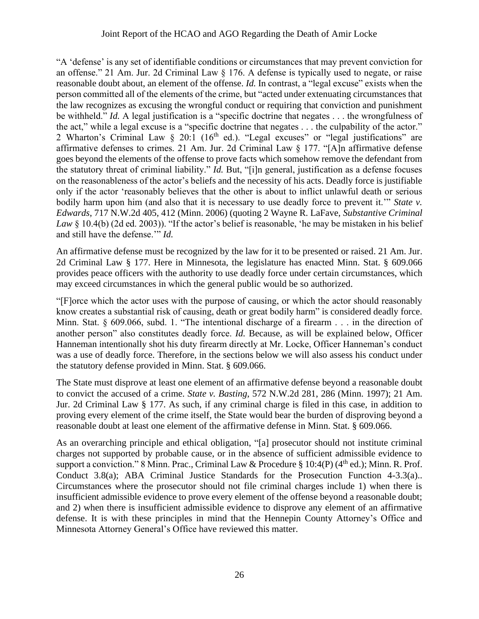"A 'defense' is any set of identifiable conditions or circumstances that may prevent conviction for an offense." 21 Am. Jur. 2d Criminal Law § 176. A defense is typically used to negate, or raise reasonable doubt about, an element of the offense. *Id.* In contrast, a "legal excuse" exists when the person committed all of the elements of the crime, but "acted under extenuating circumstances that the law recognizes as excusing the wrongful conduct or requiring that conviction and punishment be withheld." *Id.* A legal justification is a "specific doctrine that negates . . . the wrongfulness of the act," while a legal excuse is a "specific doctrine that negates . . . the culpability of the actor." 2 Wharton's Criminal Law § 20:1 (16<sup>th</sup> ed.). "Legal excuses" or "legal justifications" are affirmative defenses to crimes. 21 Am. Jur. 2d Criminal Law § 177. "[A]n affirmative defense goes beyond the elements of the offense to prove facts which somehow remove the defendant from the statutory threat of criminal liability." *Id.* But, "[i]n general, justification as a defense focuses on the reasonableness of the actor's beliefs and the necessity of his acts. Deadly force is justifiable only if the actor 'reasonably believes that the other is about to inflict unlawful death or serious bodily harm upon him (and also that it is necessary to use deadly force to prevent it.'" *State v. Edwards*, 717 N.W.2d 405, 412 (Minn. 2006) (quoting 2 Wayne R. LaFave, *Substantive Criminal*  Law § 10.4(b) (2d ed. 2003)). "If the actor's belief is reasonable, 'he may be mistaken in his belief and still have the defense.'" *Id.*

An affirmative defense must be recognized by the law for it to be presented or raised. 21 Am. Jur. 2d Criminal Law § 177. Here in Minnesota, the legislature has enacted Minn. Stat. § 609.066 provides peace officers with the authority to use deadly force under certain circumstances, which may exceed circumstances in which the general public would be so authorized.

"[F]orce which the actor uses with the purpose of causing, or which the actor should reasonably know creates a substantial risk of causing, death or great bodily harm" is considered deadly force. Minn. Stat. § 609.066, subd. 1. "The intentional discharge of a firearm . . . in the direction of another person" also constitutes deadly force. *Id.* Because, as will be explained below, Officer Hanneman intentionally shot his duty firearm directly at Mr. Locke, Officer Hanneman's conduct was a use of deadly force. Therefore, in the sections below we will also assess his conduct under the statutory defense provided in Minn. Stat. § 609.066.

The State must disprove at least one element of an affirmative defense beyond a reasonable doubt to convict the accused of a crime. *State v. Basting*, 572 N.W.2d 281, 286 (Minn. 1997); 21 Am. Jur. 2d Criminal Law § 177. As such, if any criminal charge is filed in this case, in addition to proving every element of the crime itself, the State would bear the burden of disproving beyond a reasonable doubt at least one element of the affirmative defense in Minn. Stat. § 609.066.

As an overarching principle and ethical obligation, "[a] prosecutor should not institute criminal charges not supported by probable cause, or in the absence of sufficient admissible evidence to support a conviction." 8 Minn. Prac., Criminal Law & Procedure § 10:4(P) ( $4<sup>th</sup>$  ed.); Minn. R. Prof. Conduct 3.8(a); ABA Criminal Justice Standards for the Prosecution Function 4-3.3(a).. Circumstances where the prosecutor should not file criminal charges include 1) when there is insufficient admissible evidence to prove every element of the offense beyond a reasonable doubt; and 2) when there is insufficient admissible evidence to disprove any element of an affirmative defense. It is with these principles in mind that the Hennepin County Attorney's Office and Minnesota Attorney General's Office have reviewed this matter.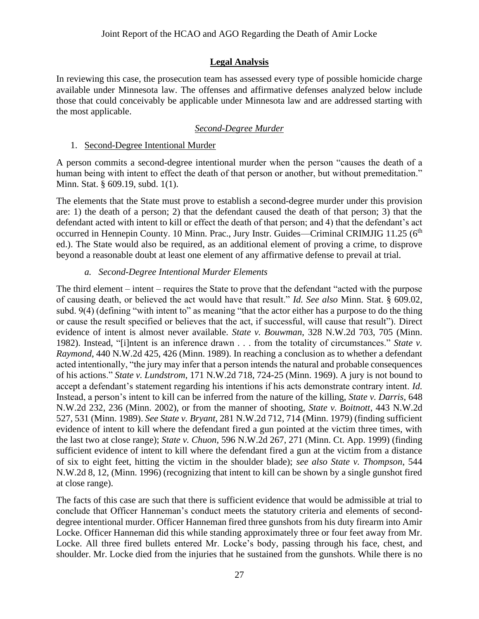## **Legal Analysis**

In reviewing this case, the prosecution team has assessed every type of possible homicide charge available under Minnesota law. The offenses and affirmative defenses analyzed below include those that could conceivably be applicable under Minnesota law and are addressed starting with the most applicable.

#### *Second-Degree Murder*

#### 1. Second-Degree Intentional Murder

A person commits a second-degree intentional murder when the person "causes the death of a human being with intent to effect the death of that person or another, but without premeditation." Minn. Stat. § 609.19, subd. 1(1).

The elements that the State must prove to establish a second-degree murder under this provision are: 1) the death of a person; 2) that the defendant caused the death of that person; 3) that the defendant acted with intent to kill or effect the death of that person; and 4) that the defendant's act occurred in Hennepin County. 10 Minn. Prac., Jury Instr. Guides—Criminal CRIMJIG 11.25 (6<sup>th</sup> ed.). The State would also be required, as an additional element of proving a crime, to disprove beyond a reasonable doubt at least one element of any affirmative defense to prevail at trial.

#### *a. Second-Degree Intentional Murder Elements*

The third element – intent – requires the State to prove that the defendant "acted with the purpose of causing death, or believed the act would have that result." *Id. See also* Minn. Stat. § 609.02, subd. 9(4) (defining "with intent to" as meaning "that the actor either has a purpose to do the thing or cause the result specified or believes that the act, if successful, will cause that result"). Direct evidence of intent is almost never available. *State v. Bouwman*, 328 N.W.2d 703, 705 (Minn. 1982). Instead, "[i]ntent is an inference drawn . . . from the totality of circumstances." *State v. Raymond*, 440 N.W.2d 425, 426 (Minn. 1989). In reaching a conclusion as to whether a defendant acted intentionally, "the jury may infer that a person intends the natural and probable consequences of his actions." *State v. Lundstrom*, 171 N.W.2d 718, 724-25 (Minn. 1969). A jury is not bound to accept a defendant's statement regarding his intentions if his acts demonstrate contrary intent. *Id.* Instead, a person's intent to kill can be inferred from the nature of the killing, *State v. Darris*, 648 N.W.2d 232, 236 (Minn. 2002), or from the manner of shooting, *State v. Boitnott*, 443 N.W.2d 527, 531 (Minn. 1989). *See State v. Bryant*, 281 N.W.2d 712, 714 (Minn. 1979) (finding sufficient evidence of intent to kill where the defendant fired a gun pointed at the victim three times, with the last two at close range); *State v. Chuon*, 596 N.W.2d 267, 271 (Minn. Ct. App. 1999) (finding sufficient evidence of intent to kill where the defendant fired a gun at the victim from a distance of six to eight feet, hitting the victim in the shoulder blade); *see also State v. Thompson*, 544 N.W.2d 8, 12, (Minn. 1996) (recognizing that intent to kill can be shown by a single gunshot fired at close range).

The facts of this case are such that there is sufficient evidence that would be admissible at trial to conclude that Officer Hanneman's conduct meets the statutory criteria and elements of seconddegree intentional murder. Officer Hanneman fired three gunshots from his duty firearm into Amir Locke. Officer Hanneman did this while standing approximately three or four feet away from Mr. Locke. All three fired bullets entered Mr. Locke's body, passing through his face, chest, and shoulder. Mr. Locke died from the injuries that he sustained from the gunshots. While there is no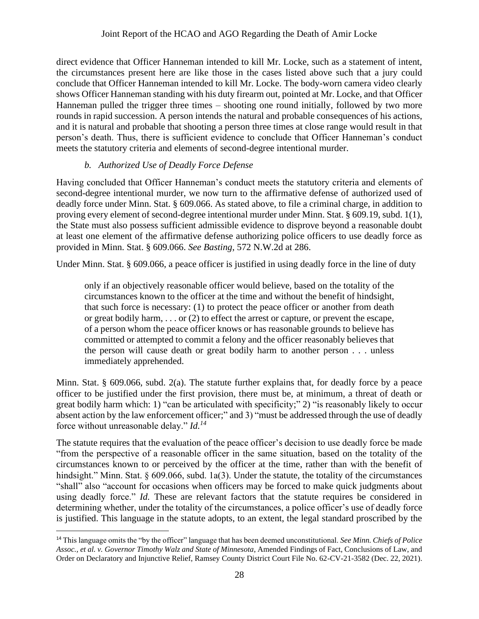direct evidence that Officer Hanneman intended to kill Mr. Locke, such as a statement of intent, the circumstances present here are like those in the cases listed above such that a jury could conclude that Officer Hanneman intended to kill Mr. Locke. The body-worn camera video clearly shows Officer Hanneman standing with his duty firearm out, pointed at Mr. Locke, and that Officer Hanneman pulled the trigger three times – shooting one round initially, followed by two more rounds in rapid succession. A person intends the natural and probable consequences of his actions, and it is natural and probable that shooting a person three times at close range would result in that person's death. Thus, there is sufficient evidence to conclude that Officer Hanneman's conduct meets the statutory criteria and elements of second-degree intentional murder.

## *b. Authorized Use of Deadly Force Defense*

Having concluded that Officer Hanneman's conduct meets the statutory criteria and elements of second-degree intentional murder, we now turn to the affirmative defense of authorized used of deadly force under Minn. Stat. § 609.066. As stated above, to file a criminal charge, in addition to proving every element of second-degree intentional murder under Minn. Stat. § 609.19, subd. 1(1), the State must also possess sufficient admissible evidence to disprove beyond a reasonable doubt at least one element of the affirmative defense authorizing police officers to use deadly force as provided in Minn. Stat. § 609.066. *See Basting*, 572 N.W.2d at 286.

Under Minn. Stat. § 609.066, a peace officer is justified in using deadly force in the line of duty

only if an objectively reasonable officer would believe, based on the totality of the circumstances known to the officer at the time and without the benefit of hindsight, that such force is necessary: (1) to protect the peace officer or another from death or great bodily harm, . . . or (2) to effect the arrest or capture, or prevent the escape, of a person whom the peace officer knows or has reasonable grounds to believe has committed or attempted to commit a felony and the officer reasonably believes that the person will cause death or great bodily harm to another person . . . unless immediately apprehended.

Minn. Stat. § 609.066, subd. 2(a). The statute further explains that, for deadly force by a peace officer to be justified under the first provision, there must be, at minimum, a threat of death or great bodily harm which: 1) "can be articulated with specificity;" 2) "is reasonably likely to occur absent action by the law enforcement officer;" and 3) "must be addressed through the use of deadly force without unreasonable delay." *Id.<sup>14</sup>*

The statute requires that the evaluation of the peace officer's decision to use deadly force be made "from the perspective of a reasonable officer in the same situation, based on the totality of the circumstances known to or perceived by the officer at the time, rather than with the benefit of hindsight." Minn. Stat. § 609.066, subd. 1a(3). Under the statute, the totality of the circumstances "shall" also "account for occasions when officers may be forced to make quick judgments about using deadly force." *Id.* These are relevant factors that the statute requires be considered in determining whether, under the totality of the circumstances, a police officer's use of deadly force is justified. This language in the statute adopts, to an extent, the legal standard proscribed by the

<sup>14</sup> This language omits the "by the officer" language that has been deemed unconstitutional. *See Minn. Chiefs of Police Assoc., et al. v. Governor Timothy Walz and State of Minnesota*, Amended Findings of Fact, Conclusions of Law, and Order on Declaratory and Injunctive Relief, Ramsey County District Court File No. 62-CV-21-3582 (Dec. 22, 2021).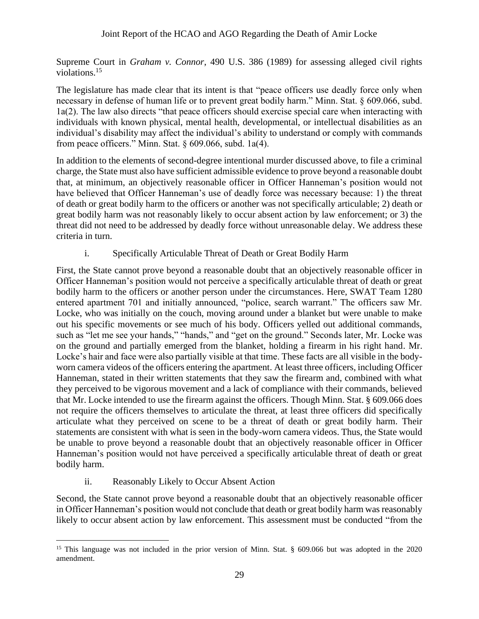Supreme Court in *Graham v. Connor*, 490 U.S. 386 (1989) for assessing alleged civil rights violations.<sup>15</sup>

The legislature has made clear that its intent is that "peace officers use deadly force only when necessary in defense of human life or to prevent great bodily harm." Minn. Stat. § 609.066, subd. 1a(2). The law also directs "that peace officers should exercise special care when interacting with individuals with known physical, mental health, developmental, or intellectual disabilities as an individual's disability may affect the individual's ability to understand or comply with commands from peace officers." Minn. Stat.  $\S$  609.066, subd. 1a(4).

In addition to the elements of second-degree intentional murder discussed above, to file a criminal charge, the State must also have sufficient admissible evidence to prove beyond a reasonable doubt that, at minimum, an objectively reasonable officer in Officer Hanneman's position would not have believed that Officer Hanneman's use of deadly force was necessary because: 1) the threat of death or great bodily harm to the officers or another was not specifically articulable; 2) death or great bodily harm was not reasonably likely to occur absent action by law enforcement; or 3) the threat did not need to be addressed by deadly force without unreasonable delay. We address these criteria in turn.

## i. Specifically Articulable Threat of Death or Great Bodily Harm

First, the State cannot prove beyond a reasonable doubt that an objectively reasonable officer in Officer Hanneman's position would not perceive a specifically articulable threat of death or great bodily harm to the officers or another person under the circumstances. Here, SWAT Team 1280 entered apartment 701 and initially announced, "police, search warrant." The officers saw Mr. Locke, who was initially on the couch, moving around under a blanket but were unable to make out his specific movements or see much of his body. Officers yelled out additional commands, such as "let me see your hands," "hands," and "get on the ground." Seconds later, Mr. Locke was on the ground and partially emerged from the blanket, holding a firearm in his right hand. Mr. Locke's hair and face were also partially visible at that time. These facts are all visible in the bodyworn camera videos of the officers entering the apartment. At least three officers, including Officer Hanneman, stated in their written statements that they saw the firearm and, combined with what they perceived to be vigorous movement and a lack of compliance with their commands, believed that Mr. Locke intended to use the firearm against the officers. Though Minn. Stat. § 609.066 does not require the officers themselves to articulate the threat, at least three officers did specifically articulate what they perceived on scene to be a threat of death or great bodily harm. Their statements are consistent with what is seen in the body-worn camera videos. Thus, the State would be unable to prove beyond a reasonable doubt that an objectively reasonable officer in Officer Hanneman's position would not have perceived a specifically articulable threat of death or great bodily harm.

## ii. Reasonably Likely to Occur Absent Action

Second, the State cannot prove beyond a reasonable doubt that an objectively reasonable officer in Officer Hanneman's position would not conclude that death or great bodily harm was reasonably likely to occur absent action by law enforcement. This assessment must be conducted "from the

<sup>&</sup>lt;sup>15</sup> This language was not included in the prior version of Minn. Stat. § 609.066 but was adopted in the 2020 amendment.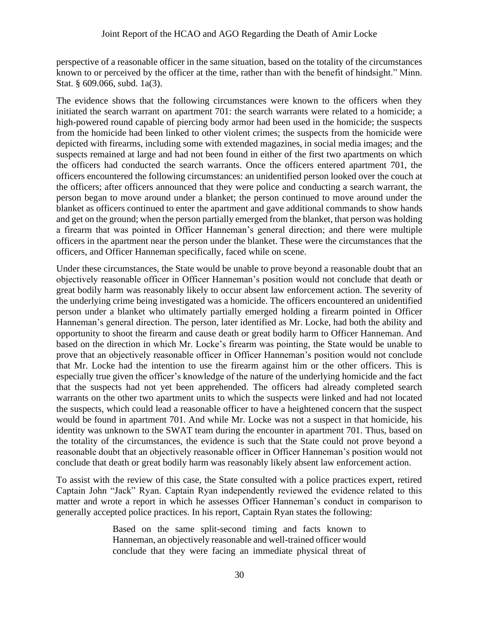perspective of a reasonable officer in the same situation, based on the totality of the circumstances known to or perceived by the officer at the time, rather than with the benefit of hindsight." Minn. Stat. § 609.066, subd. 1a(3).

The evidence shows that the following circumstances were known to the officers when they initiated the search warrant on apartment 701: the search warrants were related to a homicide; a high-powered round capable of piercing body armor had been used in the homicide; the suspects from the homicide had been linked to other violent crimes; the suspects from the homicide were depicted with firearms, including some with extended magazines, in social media images; and the suspects remained at large and had not been found in either of the first two apartments on which the officers had conducted the search warrants. Once the officers entered apartment 701, the officers encountered the following circumstances: an unidentified person looked over the couch at the officers; after officers announced that they were police and conducting a search warrant, the person began to move around under a blanket; the person continued to move around under the blanket as officers continued to enter the apartment and gave additional commands to show hands and get on the ground; when the person partially emerged from the blanket, that person was holding a firearm that was pointed in Officer Hanneman's general direction; and there were multiple officers in the apartment near the person under the blanket. These were the circumstances that the officers, and Officer Hanneman specifically, faced while on scene.

Under these circumstances, the State would be unable to prove beyond a reasonable doubt that an objectively reasonable officer in Officer Hanneman's position would not conclude that death or great bodily harm was reasonably likely to occur absent law enforcement action. The severity of the underlying crime being investigated was a homicide. The officers encountered an unidentified person under a blanket who ultimately partially emerged holding a firearm pointed in Officer Hanneman's general direction. The person, later identified as Mr. Locke, had both the ability and opportunity to shoot the firearm and cause death or great bodily harm to Officer Hanneman. And based on the direction in which Mr. Locke's firearm was pointing, the State would be unable to prove that an objectively reasonable officer in Officer Hanneman's position would not conclude that Mr. Locke had the intention to use the firearm against him or the other officers. This is especially true given the officer's knowledge of the nature of the underlying homicide and the fact that the suspects had not yet been apprehended. The officers had already completed search warrants on the other two apartment units to which the suspects were linked and had not located the suspects, which could lead a reasonable officer to have a heightened concern that the suspect would be found in apartment 701. And while Mr. Locke was not a suspect in that homicide, his identity was unknown to the SWAT team during the encounter in apartment 701. Thus, based on the totality of the circumstances, the evidence is such that the State could not prove beyond a reasonable doubt that an objectively reasonable officer in Officer Hanneman's position would not conclude that death or great bodily harm was reasonably likely absent law enforcement action.

To assist with the review of this case, the State consulted with a police practices expert, retired Captain John "Jack" Ryan. Captain Ryan independently reviewed the evidence related to this matter and wrote a report in which he assesses Officer Hanneman's conduct in comparison to generally accepted police practices. In his report, Captain Ryan states the following:

> Based on the same split-second timing and facts known to Hanneman, an objectively reasonable and well-trained officer would conclude that they were facing an immediate physical threat of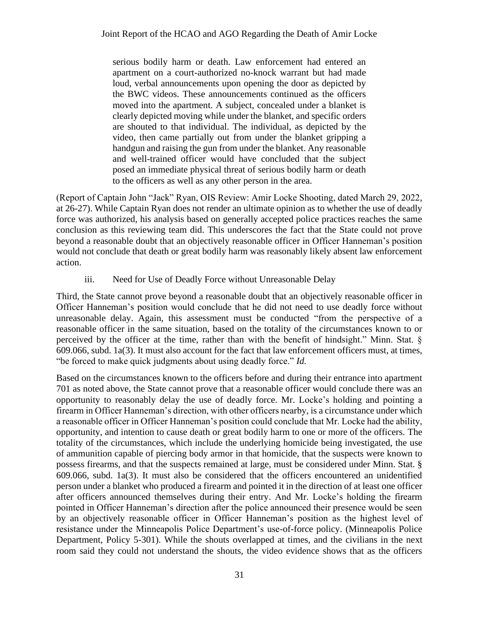serious bodily harm or death. Law enforcement had entered an apartment on a court-authorized no-knock warrant but had made loud, verbal announcements upon opening the door as depicted by the BWC videos. These announcements continued as the officers moved into the apartment. A subject, concealed under a blanket is clearly depicted moving while under the blanket, and specific orders are shouted to that individual. The individual, as depicted by the video, then came partially out from under the blanket gripping a handgun and raising the gun from under the blanket. Any reasonable and well-trained officer would have concluded that the subject posed an immediate physical threat of serious bodily harm or death to the officers as well as any other person in the area.

(Report of Captain John "Jack" Ryan, OIS Review: Amir Locke Shooting, dated March 29, 2022, at 26-27). While Captain Ryan does not render an ultimate opinion as to whether the use of deadly force was authorized, his analysis based on generally accepted police practices reaches the same conclusion as this reviewing team did. This underscores the fact that the State could not prove beyond a reasonable doubt that an objectively reasonable officer in Officer Hanneman's position would not conclude that death or great bodily harm was reasonably likely absent law enforcement action.

iii. Need for Use of Deadly Force without Unreasonable Delay

Third, the State cannot prove beyond a reasonable doubt that an objectively reasonable officer in Officer Hanneman's position would conclude that he did not need to use deadly force without unreasonable delay. Again, this assessment must be conducted "from the perspective of a reasonable officer in the same situation, based on the totality of the circumstances known to or perceived by the officer at the time, rather than with the benefit of hindsight." Minn. Stat. § 609.066, subd. 1a(3). It must also account for the fact that law enforcement officers must, at times, "be forced to make quick judgments about using deadly force." *Id.*

Based on the circumstances known to the officers before and during their entrance into apartment 701 as noted above, the State cannot prove that a reasonable officer would conclude there was an opportunity to reasonably delay the use of deadly force. Mr. Locke's holding and pointing a firearm in Officer Hanneman's direction, with other officers nearby, is a circumstance under which a reasonable officer in Officer Hanneman's position could conclude that Mr. Locke had the ability, opportunity, and intention to cause death or great bodily harm to one or more of the officers. The totality of the circumstances, which include the underlying homicide being investigated, the use of ammunition capable of piercing body armor in that homicide, that the suspects were known to possess firearms, and that the suspects remained at large, must be considered under Minn. Stat. § 609.066, subd. 1a(3). It must also be considered that the officers encountered an unidentified person under a blanket who produced a firearm and pointed it in the direction of at least one officer after officers announced themselves during their entry. And Mr. Locke's holding the firearm pointed in Officer Hanneman's direction after the police announced their presence would be seen by an objectively reasonable officer in Officer Hanneman's position as the highest level of resistance under the Minneapolis Police Department's use-of-force policy. (Minneapolis Police Department, Policy 5-301). While the shouts overlapped at times, and the civilians in the next room said they could not understand the shouts, the video evidence shows that as the officers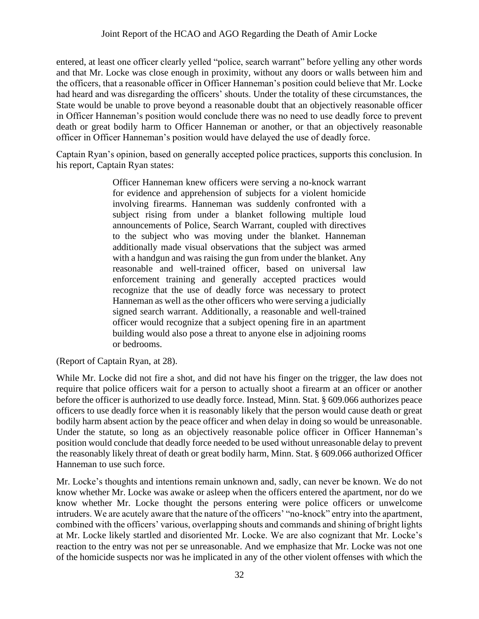entered, at least one officer clearly yelled "police, search warrant" before yelling any other words and that Mr. Locke was close enough in proximity, without any doors or walls between him and the officers, that a reasonable officer in Officer Hanneman's position could believe that Mr. Locke had heard and was disregarding the officers' shouts. Under the totality of these circumstances, the State would be unable to prove beyond a reasonable doubt that an objectively reasonable officer in Officer Hanneman's position would conclude there was no need to use deadly force to prevent death or great bodily harm to Officer Hanneman or another, or that an objectively reasonable officer in Officer Hanneman's position would have delayed the use of deadly force.

Captain Ryan's opinion, based on generally accepted police practices, supports this conclusion. In his report, Captain Ryan states:

> Officer Hanneman knew officers were serving a no-knock warrant for evidence and apprehension of subjects for a violent homicide involving firearms. Hanneman was suddenly confronted with a subject rising from under a blanket following multiple loud announcements of Police, Search Warrant, coupled with directives to the subject who was moving under the blanket. Hanneman additionally made visual observations that the subject was armed with a handgun and was raising the gun from under the blanket. Any reasonable and well-trained officer, based on universal law enforcement training and generally accepted practices would recognize that the use of deadly force was necessary to protect Hanneman as well as the other officers who were serving a judicially signed search warrant. Additionally, a reasonable and well-trained officer would recognize that a subject opening fire in an apartment building would also pose a threat to anyone else in adjoining rooms or bedrooms.

(Report of Captain Ryan, at 28).

While Mr. Locke did not fire a shot, and did not have his finger on the trigger, the law does not require that police officers wait for a person to actually shoot a firearm at an officer or another before the officer is authorized to use deadly force. Instead, Minn. Stat. § 609.066 authorizes peace officers to use deadly force when it is reasonably likely that the person would cause death or great bodily harm absent action by the peace officer and when delay in doing so would be unreasonable. Under the statute, so long as an objectively reasonable police officer in Officer Hanneman's position would conclude that deadly force needed to be used without unreasonable delay to prevent the reasonably likely threat of death or great bodily harm, Minn. Stat. § 609.066 authorized Officer Hanneman to use such force.

Mr. Locke's thoughts and intentions remain unknown and, sadly, can never be known. We do not know whether Mr. Locke was awake or asleep when the officers entered the apartment, nor do we know whether Mr. Locke thought the persons entering were police officers or unwelcome intruders. We are acutely aware that the nature of the officers' "no-knock" entry into the apartment, combined with the officers' various, overlapping shouts and commands and shining of bright lights at Mr. Locke likely startled and disoriented Mr. Locke. We are also cognizant that Mr. Locke's reaction to the entry was not per se unreasonable. And we emphasize that Mr. Locke was not one of the homicide suspects nor was he implicated in any of the other violent offenses with which the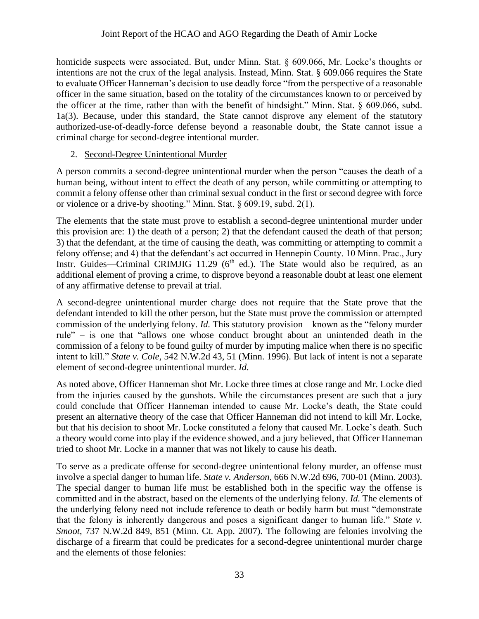homicide suspects were associated. But, under Minn. Stat. § 609.066, Mr. Locke's thoughts or intentions are not the crux of the legal analysis. Instead, Minn. Stat. § 609.066 requires the State to evaluate Officer Hanneman's decision to use deadly force "from the perspective of a reasonable officer in the same situation, based on the totality of the circumstances known to or perceived by the officer at the time, rather than with the benefit of hindsight." Minn. Stat. § 609.066, subd. 1a(3). Because, under this standard, the State cannot disprove any element of the statutory authorized-use-of-deadly-force defense beyond a reasonable doubt, the State cannot issue a criminal charge for second-degree intentional murder.

## 2. Second-Degree Unintentional Murder

A person commits a second-degree unintentional murder when the person "causes the death of a human being, without intent to effect the death of any person, while committing or attempting to commit a felony offense other than criminal sexual conduct in the first or second degree with force or violence or a drive-by shooting." Minn. Stat. § 609.19, subd. 2(1).

The elements that the state must prove to establish a second-degree unintentional murder under this provision are: 1) the death of a person; 2) that the defendant caused the death of that person; 3) that the defendant, at the time of causing the death, was committing or attempting to commit a felony offense; and 4) that the defendant's act occurred in Hennepin County. 10 Minn. Prac., Jury Instr. Guides—Criminal CRIMJIG 11.29 ( $6<sup>th</sup>$  ed.). The State would also be required, as an additional element of proving a crime, to disprove beyond a reasonable doubt at least one element of any affirmative defense to prevail at trial.

A second-degree unintentional murder charge does not require that the State prove that the defendant intended to kill the other person, but the State must prove the commission or attempted commission of the underlying felony. *Id.* This statutory provision – known as the "felony murder rule" – is one that "allows one whose conduct brought about an unintended death in the commission of a felony to be found guilty of murder by imputing malice when there is no specific intent to kill." *State v. Cole*, 542 N.W.2d 43, 51 (Minn. 1996). But lack of intent is not a separate element of second-degree unintentional murder. *Id*.

As noted above, Officer Hanneman shot Mr. Locke three times at close range and Mr. Locke died from the injuries caused by the gunshots. While the circumstances present are such that a jury could conclude that Officer Hanneman intended to cause Mr. Locke's death, the State could present an alternative theory of the case that Officer Hanneman did not intend to kill Mr. Locke, but that his decision to shoot Mr. Locke constituted a felony that caused Mr. Locke's death. Such a theory would come into play if the evidence showed, and a jury believed, that Officer Hanneman tried to shoot Mr. Locke in a manner that was not likely to cause his death.

To serve as a predicate offense for second-degree unintentional felony murder, an offense must involve a special danger to human life. *State v. Anderson*, 666 N.W.2d 696, 700-01 (Minn. 2003). The special danger to human life must be established both in the specific way the offense is committed and in the abstract, based on the elements of the underlying felony. *Id.* The elements of the underlying felony need not include reference to death or bodily harm but must "demonstrate that the felony is inherently dangerous and poses a significant danger to human life." *State v. Smoot*, 737 N.W.2d 849, 851 (Minn. Ct. App. 2007). The following are felonies involving the discharge of a firearm that could be predicates for a second-degree unintentional murder charge and the elements of those felonies: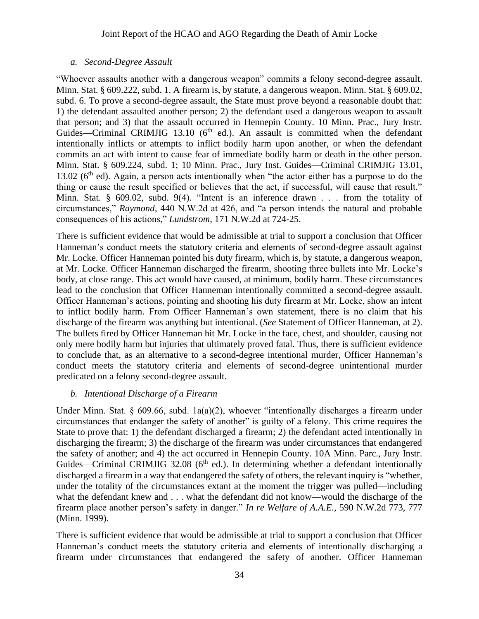#### *a. Second-Degree Assault*

"Whoever assaults another with a dangerous weapon" commits a felony second-degree assault. Minn. Stat. § 609.222, subd. 1. A firearm is, by statute, a dangerous weapon. Minn. Stat. § 609.02, subd. 6. To prove a second-degree assault, the State must prove beyond a reasonable doubt that: 1) the defendant assaulted another person; 2) the defendant used a dangerous weapon to assault that person; and 3) that the assault occurred in Hennepin County. 10 Minn. Prac., Jury Instr. Guides—Criminal CRIMJIG 13.10 ( $6<sup>th</sup>$  ed.). An assault is committed when the defendant intentionally inflicts or attempts to inflict bodily harm upon another, or when the defendant commits an act with intent to cause fear of immediate bodily harm or death in the other person. Minn. Stat. § 609.224, subd. 1; 10 Minn. Prac., Jury Inst. Guides—Criminal CRIMJIG 13.01, 13.02 ( $6<sup>th</sup>$  ed). Again, a person acts intentionally when "the actor either has a purpose to do the thing or cause the result specified or believes that the act, if successful, will cause that result." Minn. Stat. § 609.02, subd. 9(4). "Intent is an inference drawn . . . from the totality of circumstances," *Raymond*, 440 N.W.2d at 426, and "a person intends the natural and probable consequences of his actions," *Lundstrom*, 171 N.W.2d at 724-25.

There is sufficient evidence that would be admissible at trial to support a conclusion that Officer Hanneman's conduct meets the statutory criteria and elements of second-degree assault against Mr. Locke. Officer Hanneman pointed his duty firearm, which is, by statute, a dangerous weapon, at Mr. Locke. Officer Hanneman discharged the firearm, shooting three bullets into Mr. Locke's body, at close range. This act would have caused, at minimum, bodily harm. These circumstances lead to the conclusion that Officer Hanneman intentionally committed a second-degree assault. Officer Hanneman's actions, pointing and shooting his duty firearm at Mr. Locke, show an intent to inflict bodily harm. From Officer Hanneman's own statement, there is no claim that his discharge of the firearm was anything but intentional. (*See* Statement of Officer Hanneman, at 2). The bullets fired by Officer Hanneman hit Mr. Locke in the face, chest, and shoulder, causing not only mere bodily harm but injuries that ultimately proved fatal. Thus, there is sufficient evidence to conclude that, as an alternative to a second-degree intentional murder, Officer Hanneman's conduct meets the statutory criteria and elements of second-degree unintentional murder predicated on a felony second-degree assault.

## *b. Intentional Discharge of a Firearm*

Under Minn. Stat. § 609.66, subd. 1a(a)(2), whoever "intentionally discharges a firearm under circumstances that endanger the safety of another" is guilty of a felony. This crime requires the State to prove that: 1) the defendant discharged a firearm; 2) the defendant acted intentionally in discharging the firearm; 3) the discharge of the firearm was under circumstances that endangered the safety of another; and 4) the act occurred in Hennepin County. 10A Minn. Parc., Jury Instr. Guides—Criminal CRIMJIG 32.08 ( $6<sup>th</sup>$  ed.). In determining whether a defendant intentionally discharged a firearm in a way that endangered the safety of others, the relevant inquiry is "whether, under the totality of the circumstances extant at the moment the trigger was pulled—including what the defendant knew and . . . what the defendant did not know—would the discharge of the firearm place another person's safety in danger." *In re Welfare of A.A.E.*, 590 N.W.2d 773, 777 (Minn. 1999).

There is sufficient evidence that would be admissible at trial to support a conclusion that Officer Hanneman's conduct meets the statutory criteria and elements of intentionally discharging a firearm under circumstances that endangered the safety of another. Officer Hanneman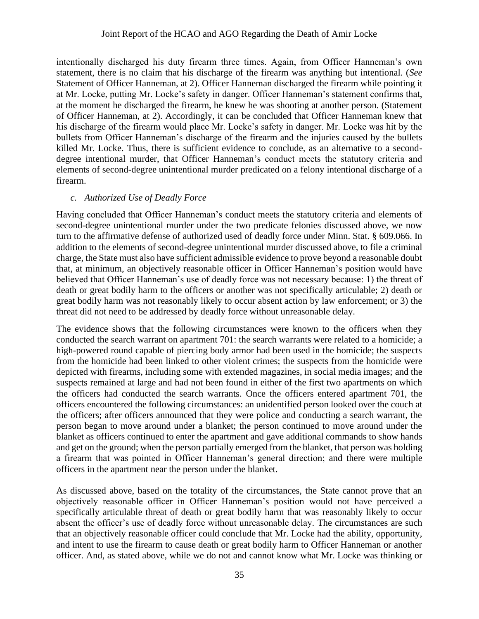#### Joint Report of the HCAO and AGO Regarding the Death of Amir Locke

intentionally discharged his duty firearm three times. Again, from Officer Hanneman's own statement, there is no claim that his discharge of the firearm was anything but intentional. (*See*  Statement of Officer Hanneman, at 2). Officer Hanneman discharged the firearm while pointing it at Mr. Locke, putting Mr. Locke's safety in danger. Officer Hanneman's statement confirms that, at the moment he discharged the firearm, he knew he was shooting at another person. (Statement of Officer Hanneman, at 2). Accordingly, it can be concluded that Officer Hanneman knew that his discharge of the firearm would place Mr. Locke's safety in danger. Mr. Locke was hit by the bullets from Officer Hanneman's discharge of the firearm and the injuries caused by the bullets killed Mr. Locke. Thus, there is sufficient evidence to conclude, as an alternative to a seconddegree intentional murder, that Officer Hanneman's conduct meets the statutory criteria and elements of second-degree unintentional murder predicated on a felony intentional discharge of a firearm.

#### *c. Authorized Use of Deadly Force*

Having concluded that Officer Hanneman's conduct meets the statutory criteria and elements of second-degree unintentional murder under the two predicate felonies discussed above, we now turn to the affirmative defense of authorized used of deadly force under Minn. Stat. § 609.066. In addition to the elements of second-degree unintentional murder discussed above, to file a criminal charge, the State must also have sufficient admissible evidence to prove beyond a reasonable doubt that, at minimum, an objectively reasonable officer in Officer Hanneman's position would have believed that Officer Hanneman's use of deadly force was not necessary because: 1) the threat of death or great bodily harm to the officers or another was not specifically articulable; 2) death or great bodily harm was not reasonably likely to occur absent action by law enforcement; or 3) the threat did not need to be addressed by deadly force without unreasonable delay.

The evidence shows that the following circumstances were known to the officers when they conducted the search warrant on apartment 701: the search warrants were related to a homicide; a high-powered round capable of piercing body armor had been used in the homicide; the suspects from the homicide had been linked to other violent crimes; the suspects from the homicide were depicted with firearms, including some with extended magazines, in social media images; and the suspects remained at large and had not been found in either of the first two apartments on which the officers had conducted the search warrants. Once the officers entered apartment 701, the officers encountered the following circumstances: an unidentified person looked over the couch at the officers; after officers announced that they were police and conducting a search warrant, the person began to move around under a blanket; the person continued to move around under the blanket as officers continued to enter the apartment and gave additional commands to show hands and get on the ground; when the person partially emerged from the blanket, that person was holding a firearm that was pointed in Officer Hanneman's general direction; and there were multiple officers in the apartment near the person under the blanket.

As discussed above, based on the totality of the circumstances, the State cannot prove that an objectively reasonable officer in Officer Hanneman's position would not have perceived a specifically articulable threat of death or great bodily harm that was reasonably likely to occur absent the officer's use of deadly force without unreasonable delay. The circumstances are such that an objectively reasonable officer could conclude that Mr. Locke had the ability, opportunity, and intent to use the firearm to cause death or great bodily harm to Officer Hanneman or another officer. And, as stated above, while we do not and cannot know what Mr. Locke was thinking or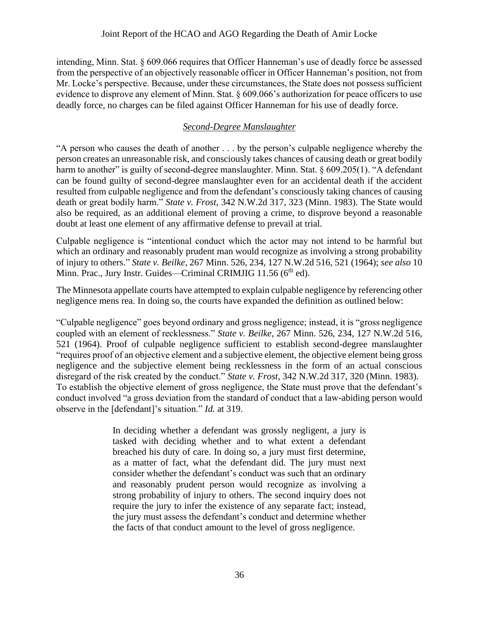intending, Minn. Stat. § 609.066 requires that Officer Hanneman's use of deadly force be assessed from the perspective of an objectively reasonable officer in Officer Hanneman's position, not from Mr. Locke's perspective. Because, under these circumstances, the State does not possess sufficient evidence to disprove any element of Minn. Stat. § 609.066's authorization for peace officers to use deadly force, no charges can be filed against Officer Hanneman for his use of deadly force.

## *Second-Degree Manslaughter*

"A person who causes the death of another . . . by the person's culpable negligence whereby the person creates an unreasonable risk, and consciously takes chances of causing death or great bodily harm to another" is guilty of second-degree manslaughter. Minn. Stat. § 609.205(1). "A defendant can be found guilty of second-degree manslaughter even for an accidental death if the accident resulted from culpable negligence and from the defendant's consciously taking chances of causing death or great bodily harm." *State v. Frost*, 342 N.W.2d 317, 323 (Minn. 1983). The State would also be required, as an additional element of proving a crime, to disprove beyond a reasonable doubt at least one element of any affirmative defense to prevail at trial.

Culpable negligence is "intentional conduct which the actor may not intend to be harmful but which an ordinary and reasonably prudent man would recognize as involving a strong probability of injury to others." *State v. Beilke*, 267 Minn. 526, 234, 127 N.W.2d 516, 521 (1964); *see also* 10 Minn. Prac., Jury Instr. Guides—Criminal CRIMJIG 11.56 (6<sup>th</sup> ed).

The Minnesota appellate courts have attempted to explain culpable negligence by referencing other negligence mens rea. In doing so, the courts have expanded the definition as outlined below:

"Culpable negligence" goes beyond ordinary and gross negligence; instead, it is "gross negligence coupled with an element of recklessness." *State v. Beilke*, 267 Minn. 526, 234, 127 N.W.2d 516, 521 (1964). Proof of culpable negligence sufficient to establish second-degree manslaughter "requires proof of an objective element and a subjective element, the objective element being gross negligence and the subjective element being recklessness in the form of an actual conscious disregard of the risk created by the conduct." *State v. Frost*, 342 N.W.2d 317, 320 (Minn. 1983). To establish the objective element of gross negligence, the State must prove that the defendant's conduct involved "a gross deviation from the standard of conduct that a law-abiding person would observe in the [defendant]'s situation." *Id.* at 319.

> In deciding whether a defendant was grossly negligent, a jury is tasked with deciding whether and to what extent a defendant breached his duty of care. In doing so, a jury must first determine, as a matter of fact, what the defendant did. The jury must next consider whether the defendant's conduct was such that an ordinary and reasonably prudent person would recognize as involving a strong probability of injury to others. The second inquiry does not require the jury to infer the existence of any separate fact; instead, the jury must assess the defendant's conduct and determine whether the facts of that conduct amount to the level of gross negligence.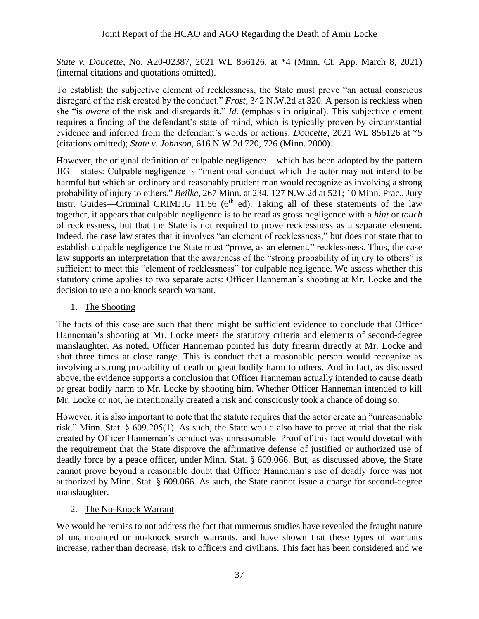*State v. Doucette*, No. A20-02387, 2021 WL 856126, at \*4 (Minn. Ct. App. March 8, 2021) (internal citations and quotations omitted).

To establish the subjective element of recklessness, the State must prove "an actual conscious disregard of the risk created by the conduct." *Frost*, 342 N.W.2d at 320. A person is reckless when she "is *aware* of the risk and disregards it." *Id.* (emphasis in original). This subjective element requires a finding of the defendant's state of mind, which is typically proven by circumstantial evidence and inferred from the defendant's words or actions. *Doucette*, 2021 WL 856126 at \*5 (citations omitted); *State v. Johnson*, 616 N.W.2d 720, 726 (Minn. 2000).

However, the original definition of culpable negligence – which has been adopted by the pattern JIG – states: Culpable negligence is "intentional conduct which the actor may not intend to be harmful but which an ordinary and reasonably prudent man would recognize as involving a strong probability of injury to others." *Beilke*, 267 Minn. at 234, 127 N.W.2d at 521; 10 Minn. Prac., Jury Instr. Guides—Criminal CRIMJIG 11.56 ( $6<sup>th</sup>$  ed). Taking all of these statements of the law together, it appears that culpable negligence is to be read as gross negligence with a *hint* or *touch* of recklessness, but that the State is not required to prove recklessness as a separate element. Indeed, the case law states that it involves "an element of recklessness," but does not state that to establish culpable negligence the State must "prove, as an element," recklessness. Thus, the case law supports an interpretation that the awareness of the "strong probability of injury to others" is sufficient to meet this "element of recklessness" for culpable negligence. We assess whether this statutory crime applies to two separate acts: Officer Hanneman's shooting at Mr. Locke and the decision to use a no-knock search warrant.

1. The Shooting

The facts of this case are such that there might be sufficient evidence to conclude that Officer Hanneman's shooting at Mr. Locke meets the statutory criteria and elements of second-degree manslaughter. As noted, Officer Hanneman pointed his duty firearm directly at Mr. Locke and shot three times at close range. This is conduct that a reasonable person would recognize as involving a strong probability of death or great bodily harm to others. And in fact, as discussed above, the evidence supports a conclusion that Officer Hanneman actually intended to cause death or great bodily harm to Mr. Locke by shooting him. Whether Officer Hanneman intended to kill Mr. Locke or not, he intentionally created a risk and consciously took a chance of doing so.

However, it is also important to note that the statute requires that the actor create an "unreasonable risk." Minn. Stat. § 609.205(1). As such, the State would also have to prove at trial that the risk created by Officer Hanneman's conduct was unreasonable. Proof of this fact would dovetail with the requirement that the State disprove the affirmative defense of justified or authorized use of deadly force by a peace officer, under Minn. Stat. § 609.066. But, as discussed above, the State cannot prove beyond a reasonable doubt that Officer Hanneman's use of deadly force was not authorized by Minn. Stat. § 609.066. As such, the State cannot issue a charge for second-degree manslaughter.

## 2. The No-Knock Warrant

We would be remiss to not address the fact that numerous studies have revealed the fraught nature of unannounced or no-knock search warrants, and have shown that these types of warrants increase, rather than decrease, risk to officers and civilians. This fact has been considered and we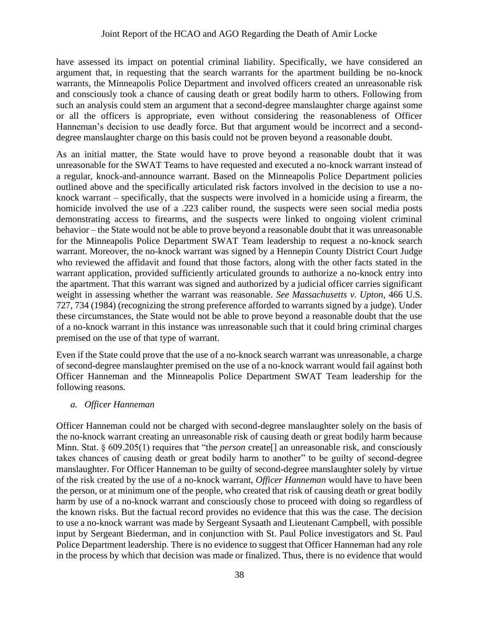have assessed its impact on potential criminal liability. Specifically, we have considered an argument that, in requesting that the search warrants for the apartment building be no-knock warrants, the Minneapolis Police Department and involved officers created an unreasonable risk and consciously took a chance of causing death or great bodily harm to others. Following from such an analysis could stem an argument that a second-degree manslaughter charge against some or all the officers is appropriate, even without considering the reasonableness of Officer Hanneman's decision to use deadly force. But that argument would be incorrect and a seconddegree manslaughter charge on this basis could not be proven beyond a reasonable doubt.

As an initial matter, the State would have to prove beyond a reasonable doubt that it was unreasonable for the SWAT Teams to have requested and executed a no-knock warrant instead of a regular, knock-and-announce warrant. Based on the Minneapolis Police Department policies outlined above and the specifically articulated risk factors involved in the decision to use a noknock warrant – specifically, that the suspects were involved in a homicide using a firearm, the homicide involved the use of a .223 caliber round, the suspects were seen social media posts demonstrating access to firearms, and the suspects were linked to ongoing violent criminal behavior – the State would not be able to prove beyond a reasonable doubt that it was unreasonable for the Minneapolis Police Department SWAT Team leadership to request a no-knock search warrant. Moreover, the no-knock warrant was signed by a Hennepin County District Court Judge who reviewed the affidavit and found that those factors, along with the other facts stated in the warrant application, provided sufficiently articulated grounds to authorize a no-knock entry into the apartment. That this warrant was signed and authorized by a judicial officer carries significant weight in assessing whether the warrant was reasonable. *See Massachusetts v. Upton*, 466 U.S. 727, 734 (1984) (recognizing the strong preference afforded to warrants signed by a judge). Under these circumstances, the State would not be able to prove beyond a reasonable doubt that the use of a no-knock warrant in this instance was unreasonable such that it could bring criminal charges premised on the use of that type of warrant.

Even if the State could prove that the use of a no-knock search warrant was unreasonable, a charge of second-degree manslaughter premised on the use of a no-knock warrant would fail against both Officer Hanneman and the Minneapolis Police Department SWAT Team leadership for the following reasons.

#### *a. Officer Hanneman*

Officer Hanneman could not be charged with second-degree manslaughter solely on the basis of the no-knock warrant creating an unreasonable risk of causing death or great bodily harm because Minn. Stat. § 609.205(1) requires that "the *person* create<sup>[]</sup> an unreasonable risk, and consciously takes chances of causing death or great bodily harm to another" to be guilty of second-degree manslaughter. For Officer Hanneman to be guilty of second-degree manslaughter solely by virtue of the risk created by the use of a no-knock warrant, *Officer Hanneman* would have to have been the person, or at minimum one of the people, who created that risk of causing death or great bodily harm by use of a no-knock warrant and consciously chose to proceed with doing so regardless of the known risks. But the factual record provides no evidence that this was the case. The decision to use a no-knock warrant was made by Sergeant Sysaath and Lieutenant Campbell, with possible input by Sergeant Biederman, and in conjunction with St. Paul Police investigators and St. Paul Police Department leadership. There is no evidence to suggest that Officer Hanneman had any role in the process by which that decision was made or finalized. Thus, there is no evidence that would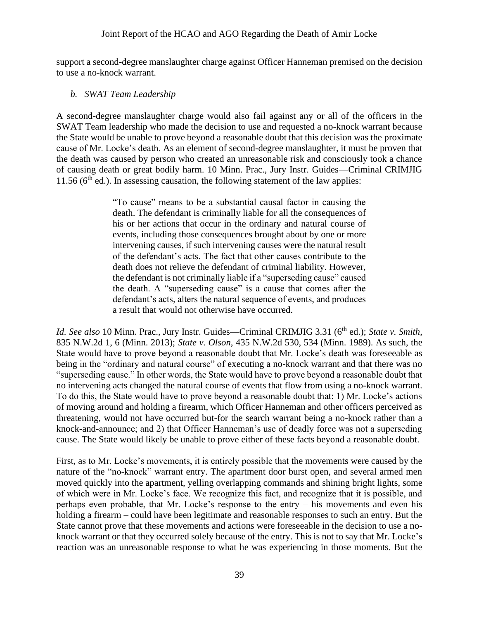support a second-degree manslaughter charge against Officer Hanneman premised on the decision to use a no-knock warrant.

#### *b. SWAT Team Leadership*

A second-degree manslaughter charge would also fail against any or all of the officers in the SWAT Team leadership who made the decision to use and requested a no-knock warrant because the State would be unable to prove beyond a reasonable doubt that this decision was the proximate cause of Mr. Locke's death. As an element of second-degree manslaughter, it must be proven that the death was caused by person who created an unreasonable risk and consciously took a chance of causing death or great bodily harm. 10 Minn. Prac., Jury Instr. Guides—Criminal CRIMJIG 11.56 ( $6<sup>th</sup>$  ed.). In assessing causation, the following statement of the law applies:

> "To cause" means to be a substantial causal factor in causing the death. The defendant is criminally liable for all the consequences of his or her actions that occur in the ordinary and natural course of events, including those consequences brought about by one or more intervening causes, if such intervening causes were the natural result of the defendant's acts. The fact that other causes contribute to the death does not relieve the defendant of criminal liability. However, the defendant is not criminally liable if a "superseding cause" caused the death. A "superseding cause" is a cause that comes after the defendant's acts, alters the natural sequence of events, and produces a result that would not otherwise have occurred.

*Id. See also* 10 Minn. Prac., Jury Instr. Guides—Criminal CRIMJIG 3.31 (6<sup>th</sup> ed.); *State v. Smith*, 835 N.W.2d 1, 6 (Minn. 2013); *State v. Olson*, 435 N.W.2d 530, 534 (Minn. 1989). As such, the State would have to prove beyond a reasonable doubt that Mr. Locke's death was foreseeable as being in the "ordinary and natural course" of executing a no-knock warrant and that there was no "superseding cause." In other words, the State would have to prove beyond a reasonable doubt that no intervening acts changed the natural course of events that flow from using a no-knock warrant. To do this, the State would have to prove beyond a reasonable doubt that: 1) Mr. Locke's actions of moving around and holding a firearm, which Officer Hanneman and other officers perceived as threatening, would not have occurred but-for the search warrant being a no-knock rather than a knock-and-announce; and 2) that Officer Hanneman's use of deadly force was not a superseding cause. The State would likely be unable to prove either of these facts beyond a reasonable doubt.

First, as to Mr. Locke's movements, it is entirely possible that the movements were caused by the nature of the "no-knock" warrant entry. The apartment door burst open, and several armed men moved quickly into the apartment, yelling overlapping commands and shining bright lights, some of which were in Mr. Locke's face. We recognize this fact, and recognize that it is possible, and perhaps even probable, that Mr. Locke's response to the entry – his movements and even his holding a firearm – could have been legitimate and reasonable responses to such an entry. But the State cannot prove that these movements and actions were foreseeable in the decision to use a noknock warrant or that they occurred solely because of the entry. This is not to say that Mr. Locke's reaction was an unreasonable response to what he was experiencing in those moments. But the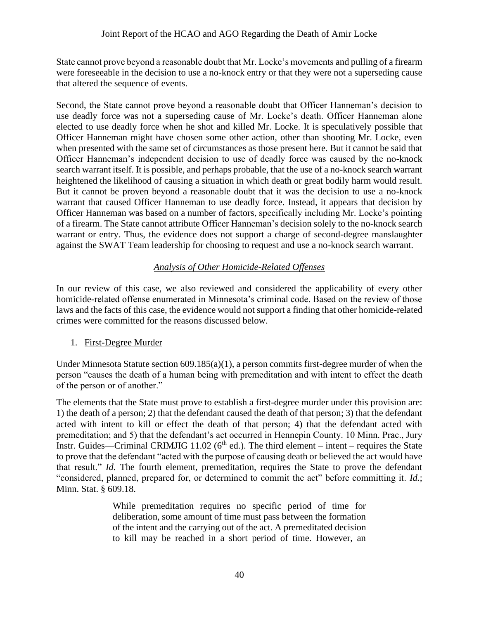State cannot prove beyond a reasonable doubt that Mr. Locke's movements and pulling of a firearm were foreseeable in the decision to use a no-knock entry or that they were not a superseding cause that altered the sequence of events.

Second, the State cannot prove beyond a reasonable doubt that Officer Hanneman's decision to use deadly force was not a superseding cause of Mr. Locke's death. Officer Hanneman alone elected to use deadly force when he shot and killed Mr. Locke. It is speculatively possible that Officer Hanneman might have chosen some other action, other than shooting Mr. Locke, even when presented with the same set of circumstances as those present here. But it cannot be said that Officer Hanneman's independent decision to use of deadly force was caused by the no-knock search warrant itself. It is possible, and perhaps probable, that the use of a no-knock search warrant heightened the likelihood of causing a situation in which death or great bodily harm would result. But it cannot be proven beyond a reasonable doubt that it was the decision to use a no-knock warrant that caused Officer Hanneman to use deadly force. Instead, it appears that decision by Officer Hanneman was based on a number of factors, specifically including Mr. Locke's pointing of a firearm. The State cannot attribute Officer Hanneman's decision solely to the no-knock search warrant or entry. Thus, the evidence does not support a charge of second-degree manslaughter against the SWAT Team leadership for choosing to request and use a no-knock search warrant.

## *Analysis of Other Homicide-Related Offenses*

In our review of this case, we also reviewed and considered the applicability of every other homicide-related offense enumerated in Minnesota's criminal code. Based on the review of those laws and the facts of this case, the evidence would not support a finding that other homicide-related crimes were committed for the reasons discussed below.

## 1. First-Degree Murder

Under Minnesota Statute section 609.185(a)(1), a person commits first-degree murder of when the person "causes the death of a human being with premeditation and with intent to effect the death of the person or of another."

The elements that the State must prove to establish a first-degree murder under this provision are: 1) the death of a person; 2) that the defendant caused the death of that person; 3) that the defendant acted with intent to kill or effect the death of that person; 4) that the defendant acted with premeditation; and 5) that the defendant's act occurred in Hennepin County. 10 Minn. Prac., Jury Instr. Guides—Criminal CRIMJIG 11.02 ( $6<sup>th</sup>$  ed.). The third element – intent – requires the State to prove that the defendant "acted with the purpose of causing death or believed the act would have that result." *Id.* The fourth element, premeditation, requires the State to prove the defendant "considered, planned, prepared for, or determined to commit the act" before committing it. *Id.*; Minn. Stat. § 609.18.

> While premeditation requires no specific period of time for deliberation, some amount of time must pass between the formation of the intent and the carrying out of the act. A premeditated decision to kill may be reached in a short period of time. However, an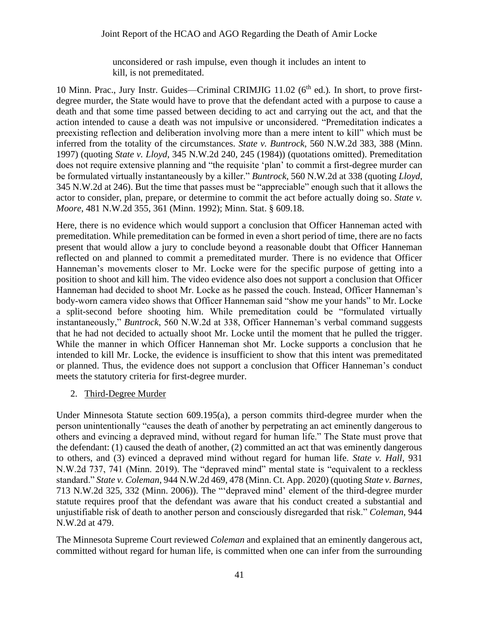unconsidered or rash impulse, even though it includes an intent to kill, is not premeditated.

10 Minn. Prac., Jury Instr. Guides—Criminal CRIMJIG 11.02 (6<sup>th</sup> ed.). In short, to prove firstdegree murder, the State would have to prove that the defendant acted with a purpose to cause a death and that some time passed between deciding to act and carrying out the act, and that the action intended to cause a death was not impulsive or unconsidered. "Premeditation indicates a preexisting reflection and deliberation involving more than a mere intent to kill" which must be inferred from the totality of the circumstances. *State v. Buntrock*, 560 N.W.2d 383, 388 (Minn. 1997) (quoting *State v. Lloyd*, 345 N.W.2d 240, 245 (1984)) (quotations omitted). Premeditation does not require extensive planning and "the requisite 'plan' to commit a first-degree murder can be formulated virtually instantaneously by a killer." *Buntrock*, 560 N.W.2d at 338 (quoting *Lloyd*, 345 N.W.2d at 246). But the time that passes must be "appreciable" enough such that it allows the actor to consider, plan, prepare, or determine to commit the act before actually doing so. *State v. Moore*, 481 N.W.2d 355, 361 (Minn. 1992); Minn. Stat. § 609.18.

Here, there is no evidence which would support a conclusion that Officer Hanneman acted with premeditation. While premeditation can be formed in even a short period of time, there are no facts present that would allow a jury to conclude beyond a reasonable doubt that Officer Hanneman reflected on and planned to commit a premeditated murder. There is no evidence that Officer Hanneman's movements closer to Mr. Locke were for the specific purpose of getting into a position to shoot and kill him. The video evidence also does not support a conclusion that Officer Hanneman had decided to shoot Mr. Locke as he passed the couch. Instead, Officer Hanneman's body-worn camera video shows that Officer Hanneman said "show me your hands" to Mr. Locke a split-second before shooting him. While premeditation could be "formulated virtually instantaneously," *Buntrock*, 560 N.W.2d at 338, Officer Hanneman's verbal command suggests that he had not decided to actually shoot Mr. Locke until the moment that he pulled the trigger. While the manner in which Officer Hanneman shot Mr. Locke supports a conclusion that he intended to kill Mr. Locke, the evidence is insufficient to show that this intent was premeditated or planned. Thus, the evidence does not support a conclusion that Officer Hanneman's conduct meets the statutory criteria for first-degree murder.

## 2. Third-Degree Murder

Under Minnesota Statute section 609.195(a), a person commits third-degree murder when the person unintentionally "causes the death of another by perpetrating an act eminently dangerous to others and evincing a depraved mind, without regard for human life." The State must prove that the defendant: (1) caused the death of another, (2) committed an act that was eminently dangerous to others, and (3) evinced a depraved mind without regard for human life. *State v. Hall*, 931 N.W.2d 737, 741 (Minn. 2019). The "depraved mind" mental state is "equivalent to a reckless standard." *State v. Coleman*, 944 N.W.2d 469, 478 (Minn. Ct. App. 2020) (quoting *State v. Barnes*, 713 N.W.2d 325, 332 (Minn. 2006)). The "'depraved mind' element of the third-degree murder statute requires proof that the defendant was aware that his conduct created a substantial and unjustifiable risk of death to another person and consciously disregarded that risk." *Coleman*, 944 N.W.2d at 479.

The Minnesota Supreme Court reviewed *Coleman* and explained that an eminently dangerous act, committed without regard for human life, is committed when one can infer from the surrounding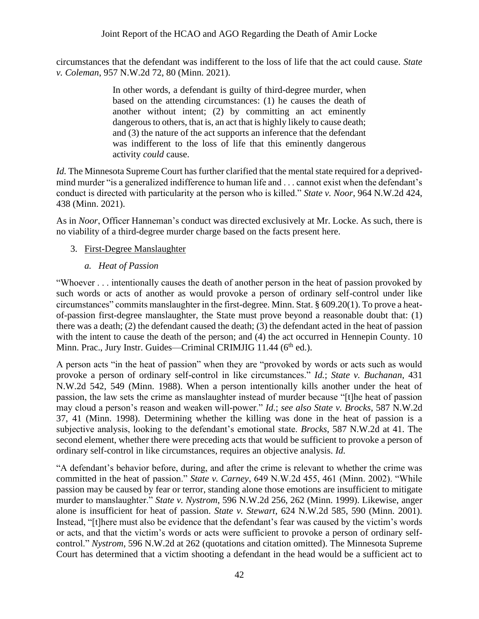circumstances that the defendant was indifferent to the loss of life that the act could cause. *State v. Coleman*, 957 N.W.2d 72, 80 (Minn. 2021).

> In other words, a defendant is guilty of third-degree murder, when based on the attending circumstances: (1) he causes the death of another without intent; (2) by committing an act eminently dangerous to others, that is, an act that is highly likely to cause death; and (3) the nature of the act supports an inference that the defendant was indifferent to the loss of life that this eminently dangerous activity *could* cause.

*Id.* The Minnesota Supreme Court has further clarified that the mental state required for a deprivedmind murder "is a generalized indifference to human life and . . . cannot exist when the defendant's conduct is directed with particularity at the person who is killed." *State v. Noor*, 964 N.W.2d 424, 438 (Minn. 2021).

As in *Noor*, Officer Hanneman's conduct was directed exclusively at Mr. Locke. As such, there is no viability of a third-degree murder charge based on the facts present here.

- 3. First-Degree Manslaughter
	- *a. Heat of Passion*

"Whoever . . . intentionally causes the death of another person in the heat of passion provoked by such words or acts of another as would provoke a person of ordinary self-control under like circumstances" commits manslaughter in the first-degree. Minn. Stat. § 609.20(1). To prove a heatof-passion first-degree manslaughter, the State must prove beyond a reasonable doubt that: (1) there was a death; (2) the defendant caused the death; (3) the defendant acted in the heat of passion with the intent to cause the death of the person; and (4) the act occurred in Hennepin County. 10 Minn. Prac., Jury Instr. Guides—Criminal CRIMJIG  $11.44$  ( $6<sup>th</sup>$ ed.).

A person acts "in the heat of passion" when they are "provoked by words or acts such as would provoke a person of ordinary self-control in like circumstances." *Id.*; *State v. Buchanan*, 431 N.W.2d 542, 549 (Minn. 1988). When a person intentionally kills another under the heat of passion, the law sets the crime as manslaughter instead of murder because "[t]he heat of passion may cloud a person's reason and weaken will-power." *Id.*; *see also State v. Brocks*, 587 N.W.2d 37, 41 (Minn. 1998). Determining whether the killing was done in the heat of passion is a subjective analysis, looking to the defendant's emotional state. *Brocks*, 587 N.W.2d at 41. The second element, whether there were preceding acts that would be sufficient to provoke a person of ordinary self-control in like circumstances, requires an objective analysis. *Id.*

"A defendant's behavior before, during, and after the crime is relevant to whether the crime was committed in the heat of passion." *State v. Carney*, 649 N.W.2d 455, 461 (Minn. 2002). "While passion may be caused by fear or terror, standing alone those emotions are insufficient to mitigate murder to manslaughter." *State v. Nystrom*, 596 N.W.2d 256, 262 (Minn. 1999). Likewise, anger alone is insufficient for heat of passion. *State v. Stewart*, 624 N.W.2d 585, 590 (Minn. 2001). Instead, "[t]here must also be evidence that the defendant's fear was caused by the victim's words or acts, and that the victim's words or acts were sufficient to provoke a person of ordinary selfcontrol." *Nystrom*, 596 N.W.2d at 262 (quotations and citation omitted). The Minnesota Supreme Court has determined that a victim shooting a defendant in the head would be a sufficient act to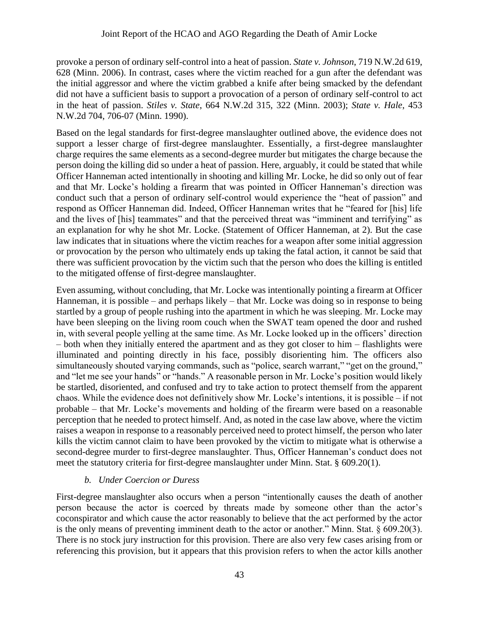provoke a person of ordinary self-control into a heat of passion. *State v. Johnson*, 719 N.W.2d 619, 628 (Minn. 2006). In contrast, cases where the victim reached for a gun after the defendant was the initial aggressor and where the victim grabbed a knife after being smacked by the defendant did not have a sufficient basis to support a provocation of a person of ordinary self-control to act in the heat of passion. *Stiles v. State*, 664 N.W.2d 315, 322 (Minn. 2003); *State v. Hale*, 453 N.W.2d 704, 706-07 (Minn. 1990).

Based on the legal standards for first-degree manslaughter outlined above, the evidence does not support a lesser charge of first-degree manslaughter. Essentially, a first-degree manslaughter charge requires the same elements as a second-degree murder but mitigates the charge because the person doing the killing did so under a heat of passion. Here, arguably, it could be stated that while Officer Hanneman acted intentionally in shooting and killing Mr. Locke, he did so only out of fear and that Mr. Locke's holding a firearm that was pointed in Officer Hanneman's direction was conduct such that a person of ordinary self-control would experience the "heat of passion" and respond as Officer Hanneman did. Indeed, Officer Hanneman writes that he "feared for [his] life and the lives of [his] teammates" and that the perceived threat was "imminent and terrifying" as an explanation for why he shot Mr. Locke. (Statement of Officer Hanneman, at 2). But the case law indicates that in situations where the victim reaches for a weapon after some initial aggression or provocation by the person who ultimately ends up taking the fatal action, it cannot be said that there was sufficient provocation by the victim such that the person who does the killing is entitled to the mitigated offense of first-degree manslaughter.

Even assuming, without concluding, that Mr. Locke was intentionally pointing a firearm at Officer Hanneman, it is possible – and perhaps likely – that Mr. Locke was doing so in response to being startled by a group of people rushing into the apartment in which he was sleeping. Mr. Locke may have been sleeping on the living room couch when the SWAT team opened the door and rushed in, with several people yelling at the same time. As Mr. Locke looked up in the officers' direction – both when they initially entered the apartment and as they got closer to him – flashlights were illuminated and pointing directly in his face, possibly disorienting him. The officers also simultaneously shouted varying commands, such as "police, search warrant," "get on the ground," and "let me see your hands" or "hands." A reasonable person in Mr. Locke's position would likely be startled, disoriented, and confused and try to take action to protect themself from the apparent chaos. While the evidence does not definitively show Mr. Locke's intentions, it is possible – if not probable – that Mr. Locke's movements and holding of the firearm were based on a reasonable perception that he needed to protect himself. And, as noted in the case law above, where the victim raises a weapon in response to a reasonably perceived need to protect himself, the person who later kills the victim cannot claim to have been provoked by the victim to mitigate what is otherwise a second-degree murder to first-degree manslaughter. Thus, Officer Hanneman's conduct does not meet the statutory criteria for first-degree manslaughter under Minn. Stat. § 609.20(1).

## *b. Under Coercion or Duress*

First-degree manslaughter also occurs when a person "intentionally causes the death of another person because the actor is coerced by threats made by someone other than the actor's coconspirator and which cause the actor reasonably to believe that the act performed by the actor is the only means of preventing imminent death to the actor or another." Minn. Stat. § 609.20(3). There is no stock jury instruction for this provision. There are also very few cases arising from or referencing this provision, but it appears that this provision refers to when the actor kills another